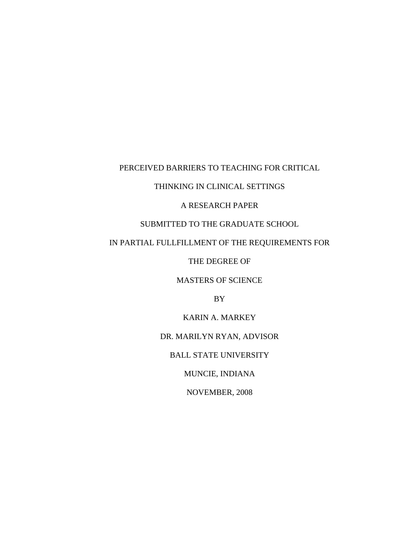# PERCEIVED BARRIERS TO TEACHING FOR CRITICAL

# THINKING IN CLINICAL SETTINGS

# A RESEARCH PAPER

# SUBMITTED TO THE GRADUATE SCHOOL

# IN PARTIAL FULLFILLMENT OF THE REQUIREMENTS FOR

THE DEGREE OF

MASTERS OF SCIENCE

BY

KARIN A. MARKEY

DR. MARILYN RYAN, ADVISOR

BALL STATE UNIVERSITY

MUNCIE, INDIANA

NOVEMBER, 2008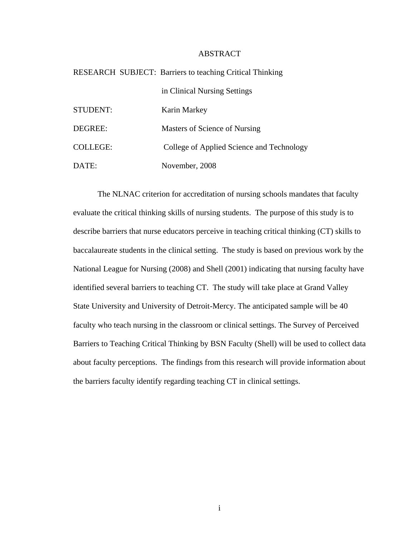# ABSTRACT

|                 | <b>RESEARCH SUBJECT: Barriers to teaching Critical Thinking</b> |
|-----------------|-----------------------------------------------------------------|
|                 | in Clinical Nursing Settings                                    |
| STUDENT:        | Karin Markey                                                    |
| DEGREE:         | Masters of Science of Nursing                                   |
| <b>COLLEGE:</b> | College of Applied Science and Technology                       |
| DATE:           | November, 2008                                                  |

The NLNAC criterion for accreditation of nursing schools mandates that faculty evaluate the critical thinking skills of nursing students. The purpose of this study is to describe barriers that nurse educators perceive in teaching critical thinking (CT) skills to baccalaureate students in the clinical setting. The study is based on previous work by the National League for Nursing (2008) and Shell (2001) indicating that nursing faculty have identified several barriers to teaching CT. The study will take place at Grand Valley State University and University of Detroit-Mercy. The anticipated sample will be 40 faculty who teach nursing in the classroom or clinical settings. The Survey of Perceived Barriers to Teaching Critical Thinking by BSN Faculty (Shell) will be used to collect data about faculty perceptions. The findings from this research will provide information about the barriers faculty identify regarding teaching CT in clinical settings.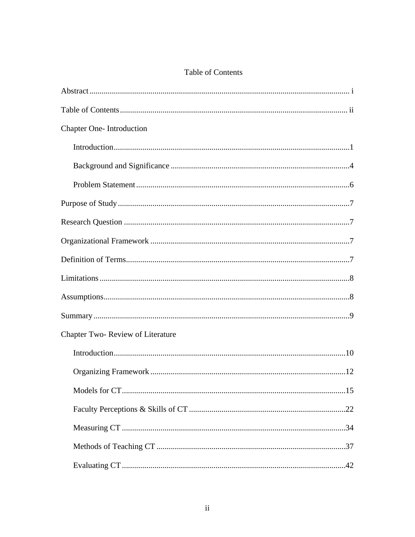| <b>Table of Contents</b> |  |
|--------------------------|--|
|--------------------------|--|

| <b>Chapter One-Introduction</b>  |
|----------------------------------|
|                                  |
|                                  |
|                                  |
|                                  |
|                                  |
|                                  |
|                                  |
|                                  |
|                                  |
|                                  |
| Chapter Two-Review of Literature |
|                                  |
|                                  |
|                                  |
|                                  |
|                                  |
|                                  |
|                                  |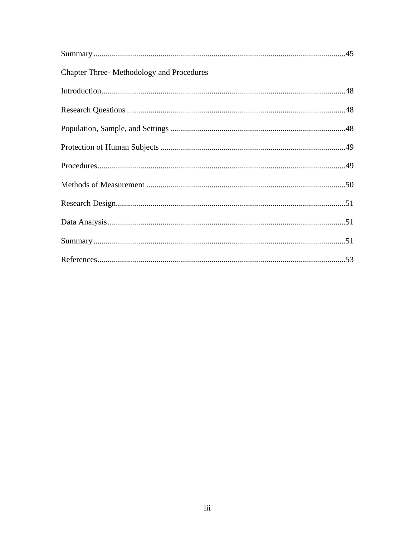| <b>Chapter Three-Methodology and Procedures</b> |  |
|-------------------------------------------------|--|
|                                                 |  |
|                                                 |  |
|                                                 |  |
|                                                 |  |
|                                                 |  |
|                                                 |  |
|                                                 |  |
|                                                 |  |
|                                                 |  |
|                                                 |  |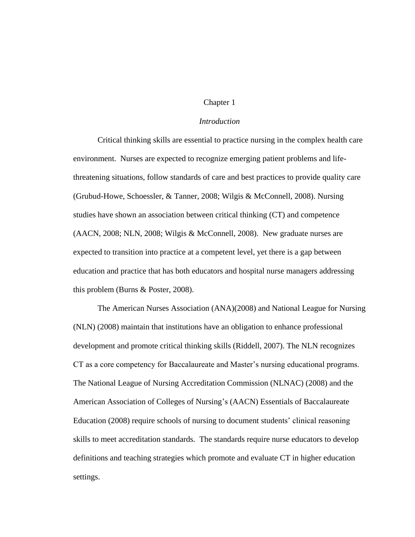# Chapter 1

## *Introduction*

Critical thinking skills are essential to practice nursing in the complex health care environment. Nurses are expected to recognize emerging patient problems and lifethreatening situations, follow standards of care and best practices to provide quality care (Grubud-Howe, Schoessler, & Tanner, 2008; Wilgis & McConnell, 2008). Nursing studies have shown an association between critical thinking (CT) and competence (AACN, 2008; NLN, 2008; Wilgis & McConnell, 2008). New graduate nurses are expected to transition into practice at a competent level, yet there is a gap between education and practice that has both educators and hospital nurse managers addressing this problem (Burns & Poster, 2008).

The American Nurses Association (ANA)(2008) and National League for Nursing (NLN) (2008) maintain that institutions have an obligation to enhance professional development and promote critical thinking skills (Riddell, 2007). The NLN recognizes CT as a core competency for Baccalaureate and Master's nursing educational programs. The National League of Nursing Accreditation Commission (NLNAC) (2008) and the American Association of Colleges of Nursing's (AACN) Essentials of Baccalaureate Education (2008) require schools of nursing to document students' clinical reasoning skills to meet accreditation standards. The standards require nurse educators to develop definitions and teaching strategies which promote and evaluate CT in higher education settings.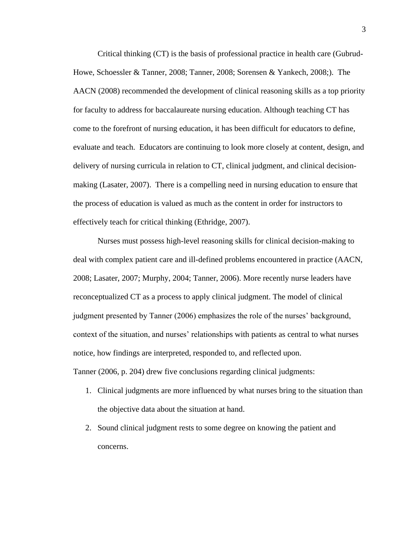Critical thinking (CT) is the basis of professional practice in health care (Gubrud-Howe, Schoessler & Tanner, 2008; Tanner, 2008; Sorensen & Yankech, 2008;). The AACN (2008) recommended the development of clinical reasoning skills as a top priority for faculty to address for baccalaureate nursing education. Although teaching CT has come to the forefront of nursing education, it has been difficult for educators to define, evaluate and teach. Educators are continuing to look more closely at content, design, and delivery of nursing curricula in relation to CT, clinical judgment, and clinical decisionmaking (Lasater, 2007). There is a compelling need in nursing education to ensure that the process of education is valued as much as the content in order for instructors to effectively teach for critical thinking (Ethridge, 2007).

Nurses must possess high-level reasoning skills for clinical decision-making to deal with complex patient care and ill-defined problems encountered in practice (AACN, 2008; Lasater, 2007; Murphy, 2004; Tanner, 2006). More recently nurse leaders have reconceptualized CT as a process to apply clinical judgment. The model of clinical judgment presented by Tanner (2006) emphasizes the role of the nurses' background, context of the situation, and nurses' relationships with patients as central to what nurses notice, how findings are interpreted, responded to, and reflected upon.

Tanner (2006, p. 204) drew five conclusions regarding clinical judgments:

- 1. Clinical judgments are more influenced by what nurses bring to the situation than the objective data about the situation at hand.
- 2. Sound clinical judgment rests to some degree on knowing the patient and concerns.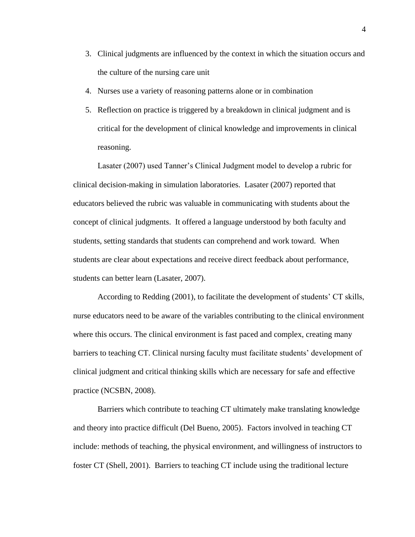- 3. Clinical judgments are influenced by the context in which the situation occurs and the culture of the nursing care unit
- 4. Nurses use a variety of reasoning patterns alone or in combination
- 5. Reflection on practice is triggered by a breakdown in clinical judgment and is critical for the development of clinical knowledge and improvements in clinical reasoning.

Lasater (2007) used Tanner's Clinical Judgment model to develop a rubric for clinical decision-making in simulation laboratories. Lasater (2007) reported that educators believed the rubric was valuable in communicating with students about the concept of clinical judgments. It offered a language understood by both faculty and students, setting standards that students can comprehend and work toward. When students are clear about expectations and receive direct feedback about performance, students can better learn (Lasater, 2007).

According to Redding (2001), to facilitate the development of students' CT skills, nurse educators need to be aware of the variables contributing to the clinical environment where this occurs. The clinical environment is fast paced and complex, creating many barriers to teaching CT. Clinical nursing faculty must facilitate students' development of clinical judgment and critical thinking skills which are necessary for safe and effective practice (NCSBN, 2008).

Barriers which contribute to teaching CT ultimately make translating knowledge and theory into practice difficult (Del Bueno, 2005). Factors involved in teaching CT include: methods of teaching, the physical environment, and willingness of instructors to foster CT (Shell, 2001). Barriers to teaching CT include using the traditional lecture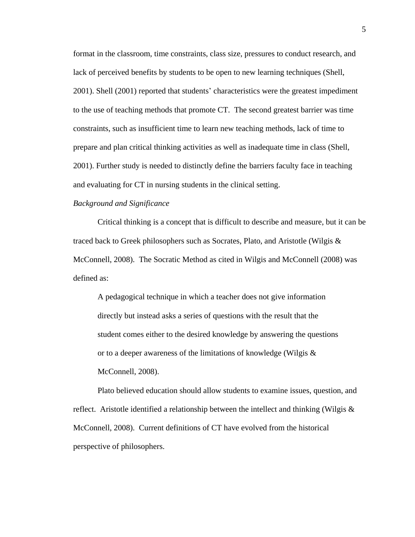format in the classroom, time constraints, class size, pressures to conduct research, and lack of perceived benefits by students to be open to new learning techniques (Shell, 2001). Shell (2001) reported that students' characteristics were the greatest impediment to the use of teaching methods that promote CT. The second greatest barrier was time constraints, such as insufficient time to learn new teaching methods, lack of time to prepare and plan critical thinking activities as well as inadequate time in class (Shell, 2001). Further study is needed to distinctly define the barriers faculty face in teaching and evaluating for CT in nursing students in the clinical setting.

### *Background and Significance*

Critical thinking is a concept that is difficult to describe and measure, but it can be traced back to Greek philosophers such as Socrates, Plato, and Aristotle (Wilgis & McConnell, 2008). The Socratic Method as cited in Wilgis and McConnell (2008) was defined as:

A pedagogical technique in which a teacher does not give information directly but instead asks a series of questions with the result that the student comes either to the desired knowledge by answering the questions or to a deeper awareness of the limitations of knowledge (Wilgis & McConnell, 2008).

Plato believed education should allow students to examine issues, question, and reflect. Aristotle identified a relationship between the intellect and thinking (Wilgis  $\&$ McConnell, 2008). Current definitions of CT have evolved from the historical perspective of philosophers.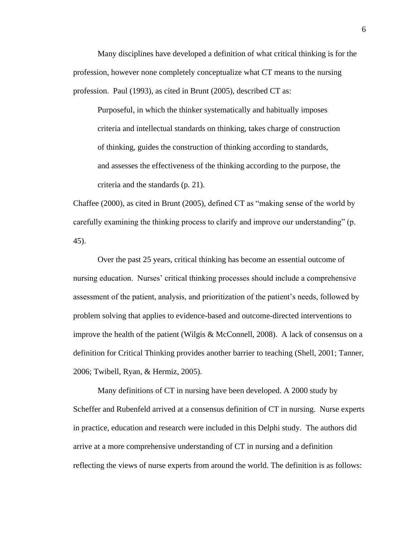Many disciplines have developed a definition of what critical thinking is for the profession, however none completely conceptualize what CT means to the nursing profession. Paul (1993), as cited in Brunt (2005), described CT as:

Purposeful, in which the thinker systematically and habitually imposes criteria and intellectual standards on thinking, takes charge of construction of thinking, guides the construction of thinking according to standards, and assesses the effectiveness of the thinking according to the purpose, the criteria and the standards (p. 21).

Chaffee (2000), as cited in Brunt (2005), defined CT as "making sense of the world by carefully examining the thinking process to clarify and improve our understanding" (p. 45).

Over the past 25 years, critical thinking has become an essential outcome of nursing education. Nurses' critical thinking processes should include a comprehensive assessment of the patient, analysis, and prioritization of the patient's needs, followed by problem solving that applies to evidence-based and outcome-directed interventions to improve the health of the patient (Wilgis & McConnell, 2008). A lack of consensus on a definition for Critical Thinking provides another barrier to teaching (Shell, 2001; Tanner, 2006; Twibell, Ryan, & Hermiz, 2005).

Many definitions of CT in nursing have been developed. A 2000 study by Scheffer and Rubenfeld arrived at a consensus definition of CT in nursing. Nurse experts in practice, education and research were included in this Delphi study. The authors did arrive at a more comprehensive understanding of CT in nursing and a definition reflecting the views of nurse experts from around the world. The definition is as follows: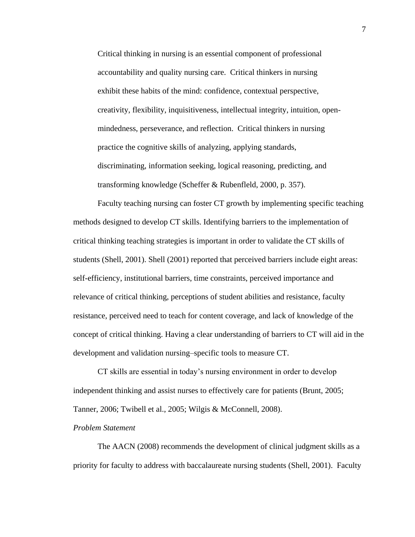Critical thinking in nursing is an essential component of professional accountability and quality nursing care. Critical thinkers in nursing exhibit these habits of the mind: confidence, contextual perspective, creativity, flexibility, inquisitiveness, intellectual integrity, intuition, openmindedness, perseverance, and reflection. Critical thinkers in nursing practice the cognitive skills of analyzing, applying standards, discriminating, information seeking, logical reasoning, predicting, and transforming knowledge (Scheffer & Rubenfleld, 2000, p. 357).

Faculty teaching nursing can foster CT growth by implementing specific teaching methods designed to develop CT skills. Identifying barriers to the implementation of critical thinking teaching strategies is important in order to validate the CT skills of students (Shell, 2001). Shell (2001) reported that perceived barriers include eight areas: self-efficiency, institutional barriers, time constraints, perceived importance and relevance of critical thinking, perceptions of student abilities and resistance, faculty resistance, perceived need to teach for content coverage, and lack of knowledge of the concept of critical thinking. Having a clear understanding of barriers to CT will aid in the development and validation nursing–specific tools to measure CT.

CT skills are essential in today's nursing environment in order to develop independent thinking and assist nurses to effectively care for patients (Brunt, 2005; Tanner, 2006; Twibell et al., 2005; Wilgis & McConnell, 2008).

#### *Problem Statement*

The AACN (2008) recommends the development of clinical judgment skills as a priority for faculty to address with baccalaureate nursing students (Shell, 2001). Faculty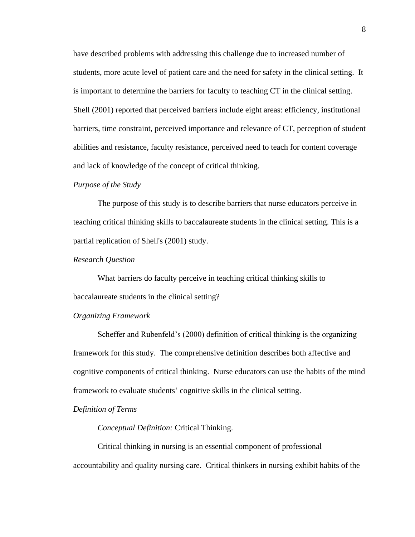have described problems with addressing this challenge due to increased number of students, more acute level of patient care and the need for safety in the clinical setting. It is important to determine the barriers for faculty to teaching CT in the clinical setting. Shell (2001) reported that perceived barriers include eight areas: efficiency, institutional barriers, time constraint, perceived importance and relevance of CT, perception of student abilities and resistance, faculty resistance, perceived need to teach for content coverage and lack of knowledge of the concept of critical thinking.

#### *Purpose of the Study*

The purpose of this study is to describe barriers that nurse educators perceive in teaching critical thinking skills to baccalaureate students in the clinical setting. This is a partial replication of Shell's (2001) study.

#### *Research Question*

What barriers do faculty perceive in teaching critical thinking skills to baccalaureate students in the clinical setting?

## *Organizing Framework*

Scheffer and Rubenfeld's (2000) definition of critical thinking is the organizing framework for this study. The comprehensive definition describes both affective and cognitive components of critical thinking. Nurse educators can use the habits of the mind framework to evaluate students' cognitive skills in the clinical setting.

## *Definition of Terms*

*Conceptual Definition:* Critical Thinking.

Critical thinking in nursing is an essential component of professional accountability and quality nursing care. Critical thinkers in nursing exhibit habits of the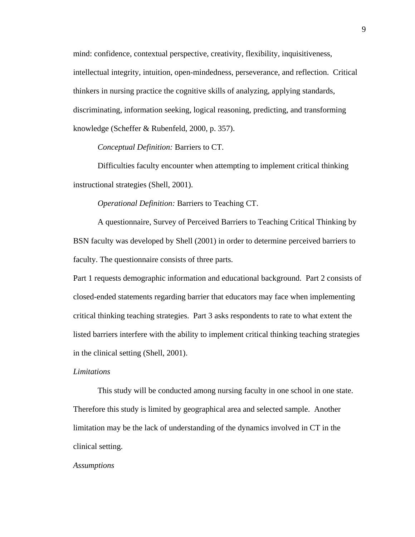mind: confidence, contextual perspective, creativity, flexibility, inquisitiveness, intellectual integrity, intuition, open-mindedness, perseverance, and reflection. Critical thinkers in nursing practice the cognitive skills of analyzing, applying standards, discriminating, information seeking, logical reasoning, predicting, and transforming knowledge (Scheffer & Rubenfeld, 2000, p. 357).

*Conceptual Definition:* Barriers to CT.

Difficulties faculty encounter when attempting to implement critical thinking instructional strategies (Shell, 2001).

*Operational Definition:* Barriers to Teaching CT.

A questionnaire, Survey of Perceived Barriers to Teaching Critical Thinking by BSN faculty was developed by Shell (2001) in order to determine perceived barriers to faculty. The questionnaire consists of three parts.

Part 1 requests demographic information and educational background. Part 2 consists of closed-ended statements regarding barrier that educators may face when implementing critical thinking teaching strategies. Part 3 asks respondents to rate to what extent the listed barriers interfere with the ability to implement critical thinking teaching strategies in the clinical setting (Shell, 2001).

#### *Limitations*

This study will be conducted among nursing faculty in one school in one state. Therefore this study is limited by geographical area and selected sample. Another limitation may be the lack of understanding of the dynamics involved in CT in the clinical setting.

#### *Assumptions*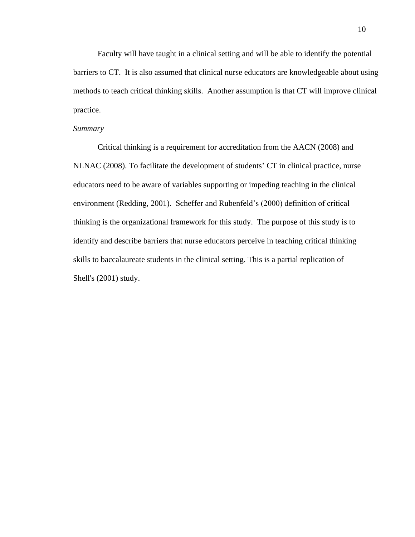Faculty will have taught in a clinical setting and will be able to identify the potential barriers to CT. It is also assumed that clinical nurse educators are knowledgeable about using methods to teach critical thinking skills. Another assumption is that CT will improve clinical practice.

#### *Summary*

Critical thinking is a requirement for accreditation from the AACN (2008) and NLNAC (2008). To facilitate the development of students' CT in clinical practice, nurse educators need to be aware of variables supporting or impeding teaching in the clinical environment (Redding, 2001). Scheffer and Rubenfeld's (2000) definition of critical thinking is the organizational framework for this study. The purpose of this study is to identify and describe barriers that nurse educators perceive in teaching critical thinking skills to baccalaureate students in the clinical setting. This is a partial replication of Shell's (2001) study.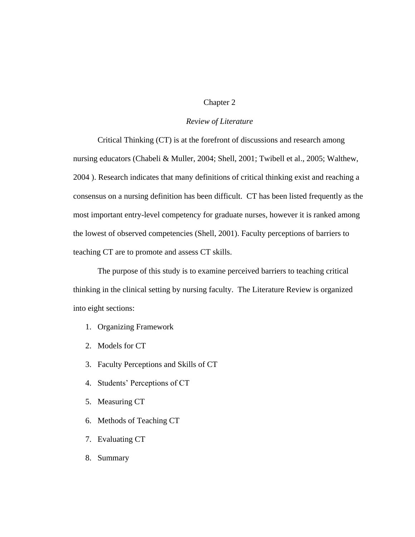# Chapter 2

# *Review of Literature*

Critical Thinking (CT) is at the forefront of discussions and research among nursing educators (Chabeli & Muller, 2004; Shell, 2001; Twibell et al., 2005; Walthew, 2004 ). Research indicates that many definitions of critical thinking exist and reaching a consensus on a nursing definition has been difficult. CT has been listed frequently as the most important entry-level competency for graduate nurses, however it is ranked among the lowest of observed competencies (Shell, 2001). Faculty perceptions of barriers to teaching CT are to promote and assess CT skills.

The purpose of this study is to examine perceived barriers to teaching critical thinking in the clinical setting by nursing faculty. The Literature Review is organized into eight sections:

- 1. Organizing Framework
- 2. Models for CT
- 3. Faculty Perceptions and Skills of CT
- 4. Students' Perceptions of CT
- 5. Measuring CT
- 6. Methods of Teaching CT
- 7. Evaluating CT
- 8. Summary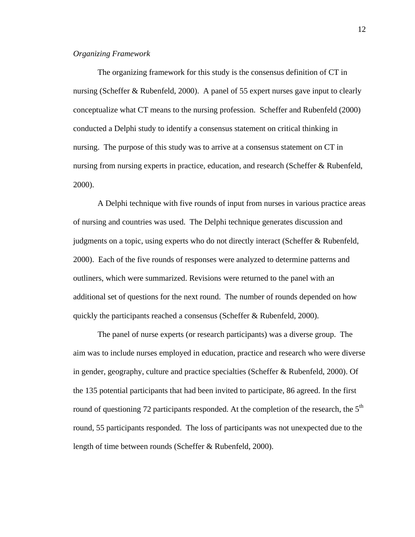# *Organizing Framework*

The organizing framework for this study is the consensus definition of CT in nursing (Scheffer & Rubenfeld, 2000). A panel of 55 expert nurses gave input to clearly conceptualize what CT means to the nursing profession. Scheffer and Rubenfeld (2000) conducted a Delphi study to identify a consensus statement on critical thinking in nursing. The purpose of this study was to arrive at a consensus statement on CT in nursing from nursing experts in practice, education, and research (Scheffer & Rubenfeld, 2000).

A Delphi technique with five rounds of input from nurses in various practice areas of nursing and countries was used. The Delphi technique generates discussion and judgments on a topic, using experts who do not directly interact (Scheffer & Rubenfeld, 2000). Each of the five rounds of responses were analyzed to determine patterns and outliners, which were summarized. Revisions were returned to the panel with an additional set of questions for the next round. The number of rounds depended on how quickly the participants reached a consensus (Scheffer & Rubenfeld, 2000).

The panel of nurse experts (or research participants) was a diverse group. The aim was to include nurses employed in education, practice and research who were diverse in gender, geography, culture and practice specialties (Scheffer & Rubenfeld, 2000). Of the 135 potential participants that had been invited to participate, 86 agreed. In the first round of questioning 72 participants responded. At the completion of the research, the  $5<sup>th</sup>$ round, 55 participants responded. The loss of participants was not unexpected due to the length of time between rounds (Scheffer & Rubenfeld, 2000).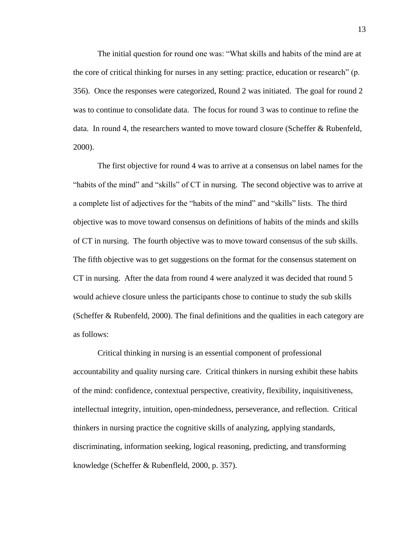The initial question for round one was: "What skills and habits of the mind are at the core of critical thinking for nurses in any setting: practice, education or research" (p. 356). Once the responses were categorized, Round 2 was initiated. The goal for round 2 was to continue to consolidate data. The focus for round 3 was to continue to refine the data. In round 4, the researchers wanted to move toward closure (Scheffer & Rubenfeld, 2000).

The first objective for round 4 was to arrive at a consensus on label names for the "habits of the mind" and "skills" of CT in nursing. The second objective was to arrive at a complete list of adjectives for the "habits of the mind" and "skills" lists. The third objective was to move toward consensus on definitions of habits of the minds and skills of CT in nursing. The fourth objective was to move toward consensus of the sub skills. The fifth objective was to get suggestions on the format for the consensus statement on CT in nursing. After the data from round 4 were analyzed it was decided that round 5 would achieve closure unless the participants chose to continue to study the sub skills (Scheffer & Rubenfeld, 2000). The final definitions and the qualities in each category are as follows:

Critical thinking in nursing is an essential component of professional accountability and quality nursing care. Critical thinkers in nursing exhibit these habits of the mind: confidence, contextual perspective, creativity, flexibility, inquisitiveness, intellectual integrity, intuition, open-mindedness, perseverance, and reflection. Critical thinkers in nursing practice the cognitive skills of analyzing, applying standards, discriminating, information seeking, logical reasoning, predicting, and transforming knowledge (Scheffer & Rubenfleld, 2000, p. 357).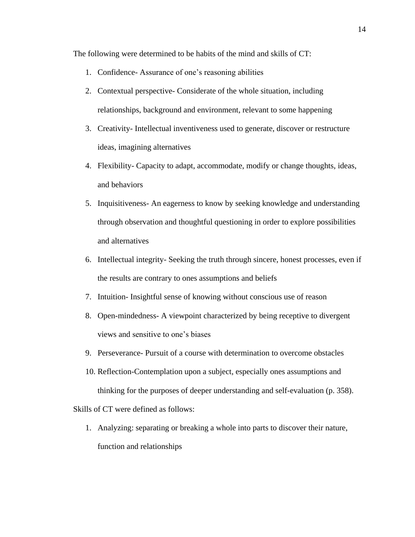The following were determined to be habits of the mind and skills of CT:

- 1. Confidence- Assurance of one's reasoning abilities
- 2. Contextual perspective- Considerate of the whole situation, including relationships, background and environment, relevant to some happening
- 3. Creativity- Intellectual inventiveness used to generate, discover or restructure ideas, imagining alternatives
- 4. Flexibility- Capacity to adapt, accommodate, modify or change thoughts, ideas, and behaviors
- 5. Inquisitiveness- An eagerness to know by seeking knowledge and understanding through observation and thoughtful questioning in order to explore possibilities and alternatives
- 6. Intellectual integrity- Seeking the truth through sincere, honest processes, even if the results are contrary to ones assumptions and beliefs
- 7. Intuition- Insightful sense of knowing without conscious use of reason
- 8. Open-mindedness- A viewpoint characterized by being receptive to divergent views and sensitive to one's biases
- 9. Perseverance- Pursuit of a course with determination to overcome obstacles
- 10. Reflection-Contemplation upon a subject, especially ones assumptions and thinking for the purposes of deeper understanding and self-evaluation (p. 358).

Skills of CT were defined as follows:

1. Analyzing: separating or breaking a whole into parts to discover their nature, function and relationships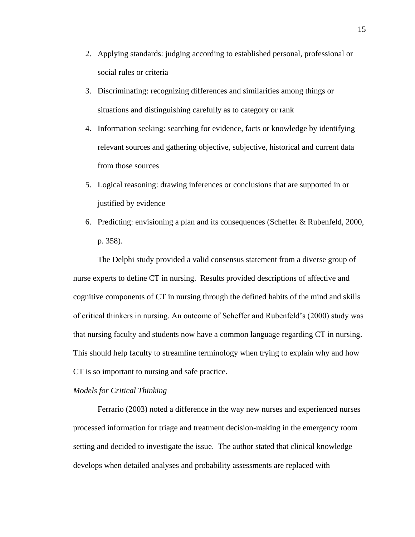- 2. Applying standards: judging according to established personal, professional or social rules or criteria
- 3. Discriminating: recognizing differences and similarities among things or situations and distinguishing carefully as to category or rank
- 4. Information seeking: searching for evidence, facts or knowledge by identifying relevant sources and gathering objective, subjective, historical and current data from those sources
- 5. Logical reasoning: drawing inferences or conclusions that are supported in or justified by evidence
- 6. Predicting: envisioning a plan and its consequences (Scheffer & Rubenfeld, 2000, p. 358).

The Delphi study provided a valid consensus statement from a diverse group of nurse experts to define CT in nursing. Results provided descriptions of affective and cognitive components of CT in nursing through the defined habits of the mind and skills of critical thinkers in nursing. An outcome of Scheffer and Rubenfeld's (2000) study was that nursing faculty and students now have a common language regarding CT in nursing. This should help faculty to streamline terminology when trying to explain why and how CT is so important to nursing and safe practice.

#### *Models for Critical Thinking*

Ferrario (2003) noted a difference in the way new nurses and experienced nurses processed information for triage and treatment decision-making in the emergency room setting and decided to investigate the issue. The author stated that clinical knowledge develops when detailed analyses and probability assessments are replaced with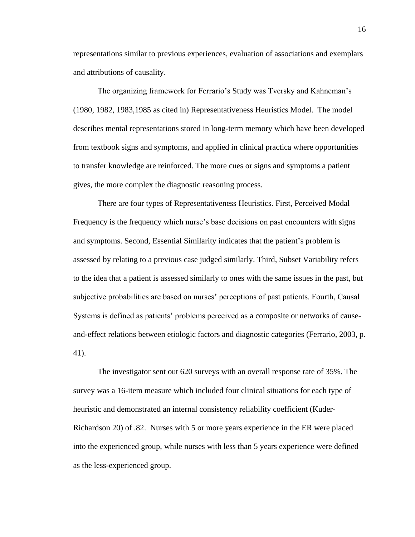representations similar to previous experiences, evaluation of associations and exemplars and attributions of causality.

The organizing framework for Ferrario's Study was Tversky and Kahneman's (1980, 1982, 1983,1985 as cited in) Representativeness Heuristics Model. The model describes mental representations stored in long-term memory which have been developed from textbook signs and symptoms, and applied in clinical practica where opportunities to transfer knowledge are reinforced. The more cues or signs and symptoms a patient gives, the more complex the diagnostic reasoning process.

There are four types of Representativeness Heuristics. First, Perceived Modal Frequency is the frequency which nurse's base decisions on past encounters with signs and symptoms. Second, Essential Similarity indicates that the patient's problem is assessed by relating to a previous case judged similarly. Third, Subset Variability refers to the idea that a patient is assessed similarly to ones with the same issues in the past, but subjective probabilities are based on nurses' perceptions of past patients. Fourth, Causal Systems is defined as patients' problems perceived as a composite or networks of causeand-effect relations between etiologic factors and diagnostic categories (Ferrario, 2003, p. 41).

The investigator sent out 620 surveys with an overall response rate of 35%. The survey was a 16-item measure which included four clinical situations for each type of heuristic and demonstrated an internal consistency reliability coefficient (Kuder-Richardson 20) of .82. Nurses with 5 or more years experience in the ER were placed into the experienced group, while nurses with less than 5 years experience were defined as the less-experienced group.

16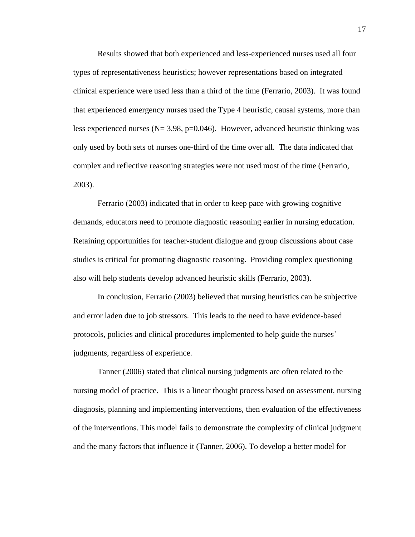Results showed that both experienced and less-experienced nurses used all four types of representativeness heuristics; however representations based on integrated clinical experience were used less than a third of the time (Ferrario, 2003). It was found that experienced emergency nurses used the Type 4 heuristic, causal systems, more than less experienced nurses ( $N = 3.98$ ,  $p = 0.046$ ). However, advanced heuristic thinking was only used by both sets of nurses one-third of the time over all. The data indicated that complex and reflective reasoning strategies were not used most of the time (Ferrario, 2003).

Ferrario (2003) indicated that in order to keep pace with growing cognitive demands, educators need to promote diagnostic reasoning earlier in nursing education. Retaining opportunities for teacher-student dialogue and group discussions about case studies is critical for promoting diagnostic reasoning. Providing complex questioning also will help students develop advanced heuristic skills (Ferrario, 2003).

In conclusion, Ferrario (2003) believed that nursing heuristics can be subjective and error laden due to job stressors. This leads to the need to have evidence-based protocols, policies and clinical procedures implemented to help guide the nurses' judgments, regardless of experience.

Tanner (2006) stated that clinical nursing judgments are often related to the nursing model of practice. This is a linear thought process based on assessment, nursing diagnosis, planning and implementing interventions, then evaluation of the effectiveness of the interventions. This model fails to demonstrate the complexity of clinical judgment and the many factors that influence it (Tanner, 2006). To develop a better model for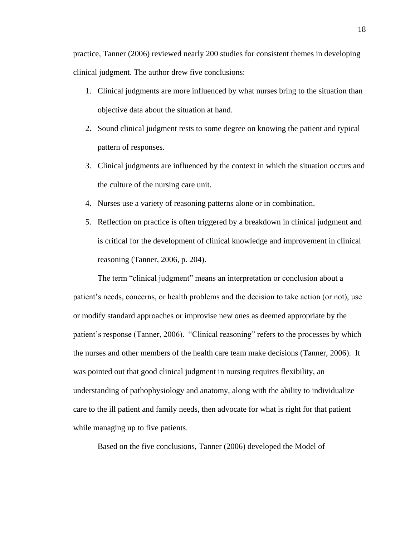practice, Tanner (2006) reviewed nearly 200 studies for consistent themes in developing clinical judgment. The author drew five conclusions:

- 1. Clinical judgments are more influenced by what nurses bring to the situation than objective data about the situation at hand.
- 2. Sound clinical judgment rests to some degree on knowing the patient and typical pattern of responses.
- 3. Clinical judgments are influenced by the context in which the situation occurs and the culture of the nursing care unit.
- 4. Nurses use a variety of reasoning patterns alone or in combination.
- 5. Reflection on practice is often triggered by a breakdown in clinical judgment and is critical for the development of clinical knowledge and improvement in clinical reasoning (Tanner, 2006, p. 204).

The term "clinical judgment" means an interpretation or conclusion about a patient's needs, concerns, or health problems and the decision to take action (or not), use or modify standard approaches or improvise new ones as deemed appropriate by the patient's response (Tanner, 2006). "Clinical reasoning" refers to the processes by which the nurses and other members of the health care team make decisions (Tanner, 2006). It was pointed out that good clinical judgment in nursing requires flexibility, an understanding of pathophysiology and anatomy, along with the ability to individualize care to the ill patient and family needs, then advocate for what is right for that patient while managing up to five patients.

Based on the five conclusions, Tanner (2006) developed the Model of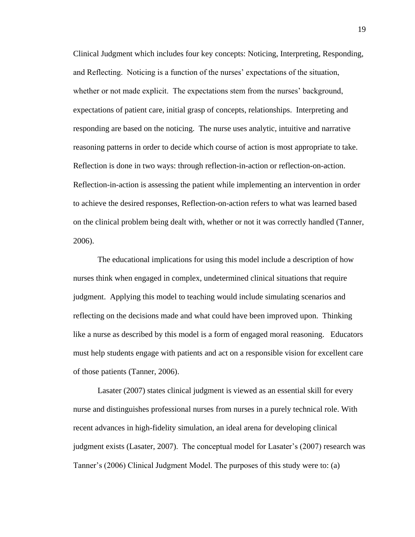Clinical Judgment which includes four key concepts: Noticing, Interpreting, Responding, and Reflecting. Noticing is a function of the nurses' expectations of the situation, whether or not made explicit. The expectations stem from the nurses' background, expectations of patient care, initial grasp of concepts, relationships. Interpreting and responding are based on the noticing. The nurse uses analytic, intuitive and narrative reasoning patterns in order to decide which course of action is most appropriate to take. Reflection is done in two ways: through reflection-in-action or reflection-on-action. Reflection-in-action is assessing the patient while implementing an intervention in order to achieve the desired responses, Reflection-on-action refers to what was learned based on the clinical problem being dealt with, whether or not it was correctly handled (Tanner, 2006).

The educational implications for using this model include a description of how nurses think when engaged in complex, undetermined clinical situations that require judgment. Applying this model to teaching would include simulating scenarios and reflecting on the decisions made and what could have been improved upon. Thinking like a nurse as described by this model is a form of engaged moral reasoning. Educators must help students engage with patients and act on a responsible vision for excellent care of those patients (Tanner, 2006).

Lasater (2007) states clinical judgment is viewed as an essential skill for every nurse and distinguishes professional nurses from nurses in a purely technical role. With recent advances in high-fidelity simulation, an ideal arena for developing clinical judgment exists (Lasater, 2007). The conceptual model for Lasater's (2007) research was Tanner's (2006) Clinical Judgment Model. The purposes of this study were to: (a)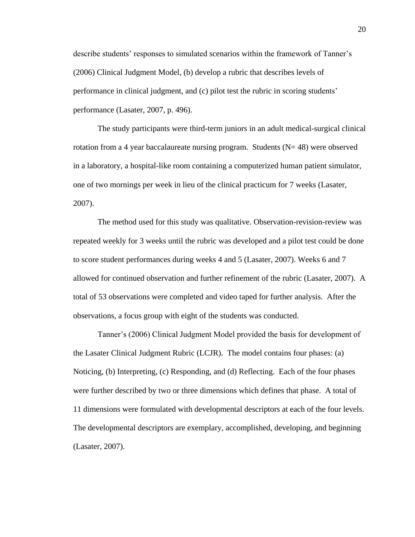describe students' responses to simulated scenarios within the framework of Tanner's (2006) Clinical Judgment Model, (b) develop a rubric that describes levels of performance in clinical judgment, and (c) pilot test the rubric in scoring students' performance (Lasater, 2007, p. 496).

The study participants were third-term juniors in an adult medical-surgical clinical rotation from a 4 year baccalaureate nursing program. Students  $(N=48)$  were observed in a laboratory, a hospital-like room containing a computerized human patient simulator, one of two mornings per week in lieu of the clinical practicum for 7 weeks (Lasater, 2007).

The method used for this study was qualitative. Observation-revision-review was repeated weekly for 3 weeks until the rubric was developed and a pilot test could be done to score student performances during weeks 4 and 5 (Lasater, 2007). Weeks 6 and 7 allowed for continued observation and further refinement of the rubric (Lasater, 2007). A total of 53 observations were completed and video taped for further analysis. After the observations, a focus group with eight of the students was conducted.

Tanner's (2006) Clinical Judgment Model provided the basis for development of the Lasater Clinical Judgment Rubric (LCJR). The model contains four phases: (a) Noticing, (b) Interpreting, (c) Responding, and (d) Reflecting. Each of the four phases were further described by two or three dimensions which defines that phase. A total of 11 dimensions were formulated with developmental descriptors at each of the four levels. The developmental descriptors are exemplary, accomplished, developing, and beginning (Lasater, 2007).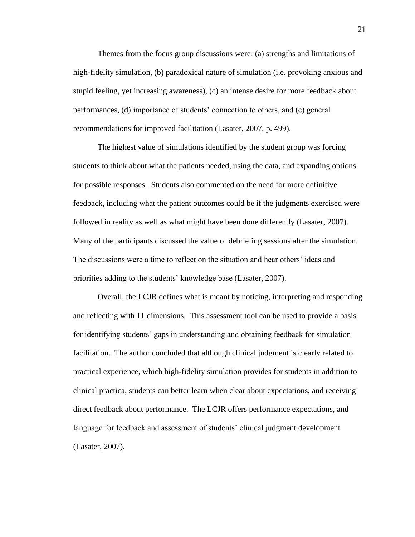Themes from the focus group discussions were: (a) strengths and limitations of high-fidelity simulation, (b) paradoxical nature of simulation (i.e. provoking anxious and stupid feeling, yet increasing awareness), (c) an intense desire for more feedback about performances, (d) importance of students' connection to others, and (e) general recommendations for improved facilitation (Lasater, 2007, p. 499).

The highest value of simulations identified by the student group was forcing students to think about what the patients needed, using the data, and expanding options for possible responses. Students also commented on the need for more definitive feedback, including what the patient outcomes could be if the judgments exercised were followed in reality as well as what might have been done differently (Lasater, 2007). Many of the participants discussed the value of debriefing sessions after the simulation. The discussions were a time to reflect on the situation and hear others' ideas and priorities adding to the students' knowledge base (Lasater, 2007).

Overall, the LCJR defines what is meant by noticing, interpreting and responding and reflecting with 11 dimensions. This assessment tool can be used to provide a basis for identifying students' gaps in understanding and obtaining feedback for simulation facilitation. The author concluded that although clinical judgment is clearly related to practical experience, which high-fidelity simulation provides for students in addition to clinical practica, students can better learn when clear about expectations, and receiving direct feedback about performance. The LCJR offers performance expectations, and language for feedback and assessment of students' clinical judgment development (Lasater, 2007).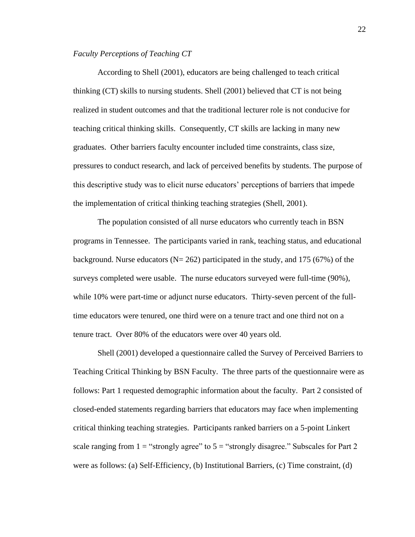# *Faculty Perceptions of Teaching CT*

According to Shell (2001), educators are being challenged to teach critical thinking (CT) skills to nursing students. Shell (2001) believed that CT is not being realized in student outcomes and that the traditional lecturer role is not conducive for teaching critical thinking skills. Consequently, CT skills are lacking in many new graduates. Other barriers faculty encounter included time constraints, class size, pressures to conduct research, and lack of perceived benefits by students. The purpose of this descriptive study was to elicit nurse educators' perceptions of barriers that impede the implementation of critical thinking teaching strategies (Shell, 2001).

The population consisted of all nurse educators who currently teach in BSN programs in Tennessee. The participants varied in rank, teaching status, and educational background. Nurse educators ( $N = 262$ ) participated in the study, and 175 (67%) of the surveys completed were usable. The nurse educators surveyed were full-time (90%), while 10% were part-time or adjunct nurse educators. Thirty-seven percent of the fulltime educators were tenured, one third were on a tenure tract and one third not on a tenure tract. Over 80% of the educators were over 40 years old.

Shell (2001) developed a questionnaire called the Survey of Perceived Barriers to Teaching Critical Thinking by BSN Faculty. The three parts of the questionnaire were as follows: Part 1 requested demographic information about the faculty. Part 2 consisted of closed-ended statements regarding barriers that educators may face when implementing critical thinking teaching strategies. Participants ranked barriers on a 5-point Linkert scale ranging from  $1 =$  "strongly agree" to  $5 =$  "strongly disagree." Subscales for Part 2 were as follows: (a) Self-Efficiency, (b) Institutional Barriers, (c) Time constraint, (d)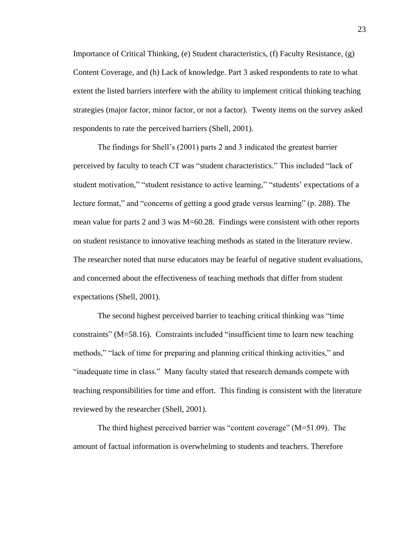Importance of Critical Thinking, (e) Student characteristics, (f) Faculty Resistance, (g) Content Coverage, and (h) Lack of knowledge. Part 3 asked respondents to rate to what extent the listed barriers interfere with the ability to implement critical thinking teaching strategies (major factor, minor factor, or not a factor). Twenty items on the survey asked respondents to rate the perceived barriers (Shell, 2001).

The findings for Shell's (2001) parts 2 and 3 indicated the greatest barrier perceived by faculty to teach CT was "student characteristics." This included "lack of student motivation," "student resistance to active learning," "students' expectations of a lecture format," and "concerns of getting a good grade versus learning" (p. 288). The mean value for parts 2 and 3 was M=60.28. Findings were consistent with other reports on student resistance to innovative teaching methods as stated in the literature review. The researcher noted that nurse educators may be fearful of negative student evaluations, and concerned about the effectiveness of teaching methods that differ from student expectations (Shell, 2001).

The second highest perceived barrier to teaching critical thinking was "time constraints" (M=58.16). Constraints included "insufficient time to learn new teaching methods," "lack of time for preparing and planning critical thinking activities," and "inadequate time in class." Many faculty stated that research demands compete with teaching responsibilities for time and effort. This finding is consistent with the literature reviewed by the researcher (Shell, 2001).

The third highest perceived barrier was "content coverage" (M=51.09). The amount of factual information is overwhelming to students and teachers. Therefore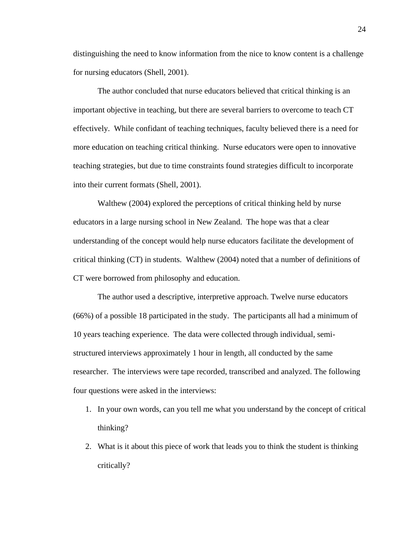distinguishing the need to know information from the nice to know content is a challenge for nursing educators (Shell, 2001).

The author concluded that nurse educators believed that critical thinking is an important objective in teaching, but there are several barriers to overcome to teach CT effectively. While confidant of teaching techniques, faculty believed there is a need for more education on teaching critical thinking. Nurse educators were open to innovative teaching strategies, but due to time constraints found strategies difficult to incorporate into their current formats (Shell, 2001).

Walthew (2004) explored the perceptions of critical thinking held by nurse educators in a large nursing school in New Zealand. The hope was that a clear understanding of the concept would help nurse educators facilitate the development of critical thinking (CT) in students. Walthew (2004) noted that a number of definitions of CT were borrowed from philosophy and education.

The author used a descriptive, interpretive approach. Twelve nurse educators (66%) of a possible 18 participated in the study. The participants all had a minimum of 10 years teaching experience. The data were collected through individual, semistructured interviews approximately 1 hour in length, all conducted by the same researcher. The interviews were tape recorded, transcribed and analyzed. The following four questions were asked in the interviews:

- 1. In your own words, can you tell me what you understand by the concept of critical thinking?
- 2. What is it about this piece of work that leads you to think the student is thinking critically?

24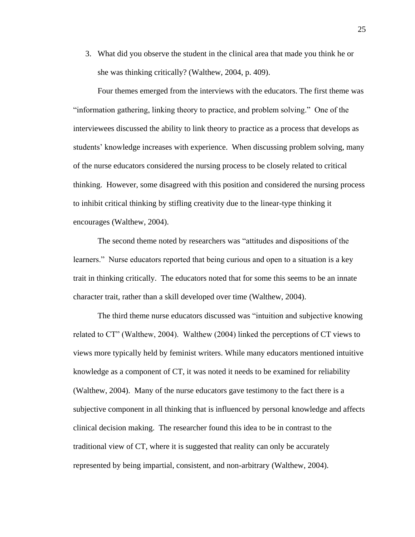3. What did you observe the student in the clinical area that made you think he or she was thinking critically? (Walthew, 2004, p. 409).

Four themes emerged from the interviews with the educators. The first theme was "information gathering, linking theory to practice, and problem solving." One of the interviewees discussed the ability to link theory to practice as a process that develops as students' knowledge increases with experience. When discussing problem solving, many of the nurse educators considered the nursing process to be closely related to critical thinking. However, some disagreed with this position and considered the nursing process to inhibit critical thinking by stifling creativity due to the linear-type thinking it encourages (Walthew, 2004).

The second theme noted by researchers was "attitudes and dispositions of the learners." Nurse educators reported that being curious and open to a situation is a key trait in thinking critically. The educators noted that for some this seems to be an innate character trait, rather than a skill developed over time (Walthew, 2004).

The third theme nurse educators discussed was "intuition and subjective knowing related to CT" (Walthew, 2004). Walthew (2004) linked the perceptions of CT views to views more typically held by feminist writers. While many educators mentioned intuitive knowledge as a component of CT, it was noted it needs to be examined for reliability (Walthew, 2004). Many of the nurse educators gave testimony to the fact there is a subjective component in all thinking that is influenced by personal knowledge and affects clinical decision making. The researcher found this idea to be in contrast to the traditional view of CT, where it is suggested that reality can only be accurately represented by being impartial, consistent, and non-arbitrary (Walthew, 2004).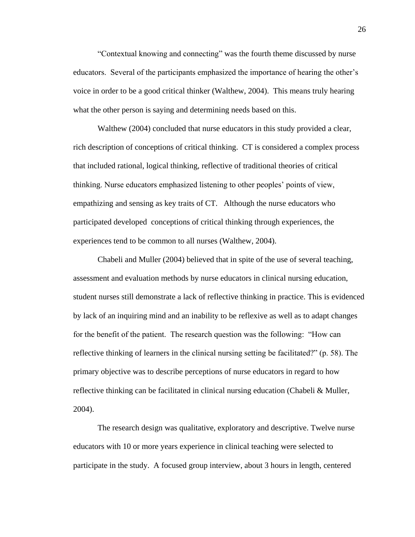"Contextual knowing and connecting" was the fourth theme discussed by nurse educators. Several of the participants emphasized the importance of hearing the other's voice in order to be a good critical thinker (Walthew, 2004). This means truly hearing what the other person is saying and determining needs based on this.

Walthew (2004) concluded that nurse educators in this study provided a clear, rich description of conceptions of critical thinking. CT is considered a complex process that included rational, logical thinking, reflective of traditional theories of critical thinking. Nurse educators emphasized listening to other peoples' points of view, empathizing and sensing as key traits of CT. Although the nurse educators who participated developed conceptions of critical thinking through experiences, the experiences tend to be common to all nurses (Walthew, 2004).

Chabeli and Muller (2004) believed that in spite of the use of several teaching, assessment and evaluation methods by nurse educators in clinical nursing education, student nurses still demonstrate a lack of reflective thinking in practice. This is evidenced by lack of an inquiring mind and an inability to be reflexive as well as to adapt changes for the benefit of the patient. The research question was the following: "How can reflective thinking of learners in the clinical nursing setting be facilitated?" (p. 58). The primary objective was to describe perceptions of nurse educators in regard to how reflective thinking can be facilitated in clinical nursing education (Chabeli & Muller, 2004).

The research design was qualitative, exploratory and descriptive. Twelve nurse educators with 10 or more years experience in clinical teaching were selected to participate in the study. A focused group interview, about 3 hours in length, centered

26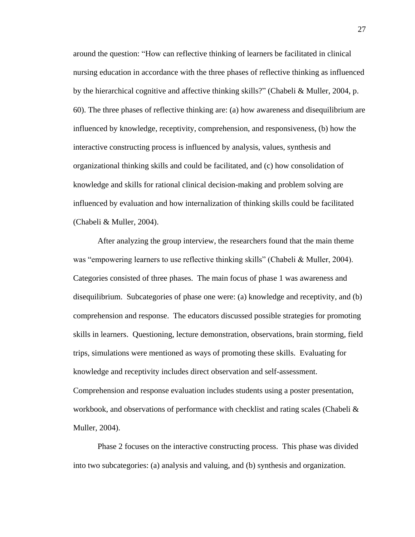around the question: "How can reflective thinking of learners be facilitated in clinical nursing education in accordance with the three phases of reflective thinking as influenced by the hierarchical cognitive and affective thinking skills?" (Chabeli & Muller, 2004, p. 60). The three phases of reflective thinking are: (a) how awareness and disequilibrium are influenced by knowledge, receptivity, comprehension, and responsiveness, (b) how the interactive constructing process is influenced by analysis, values, synthesis and organizational thinking skills and could be facilitated, and (c) how consolidation of knowledge and skills for rational clinical decision-making and problem solving are influenced by evaluation and how internalization of thinking skills could be facilitated (Chabeli & Muller, 2004).

After analyzing the group interview, the researchers found that the main theme was "empowering learners to use reflective thinking skills" (Chabeli & Muller, 2004). Categories consisted of three phases. The main focus of phase 1 was awareness and disequilibrium. Subcategories of phase one were: (a) knowledge and receptivity, and (b) comprehension and response. The educators discussed possible strategies for promoting skills in learners. Questioning, lecture demonstration, observations, brain storming, field trips, simulations were mentioned as ways of promoting these skills. Evaluating for knowledge and receptivity includes direct observation and self-assessment.

Comprehension and response evaluation includes students using a poster presentation, workbook, and observations of performance with checklist and rating scales (Chabeli & Muller, 2004).

Phase 2 focuses on the interactive constructing process. This phase was divided into two subcategories: (a) analysis and valuing, and (b) synthesis and organization.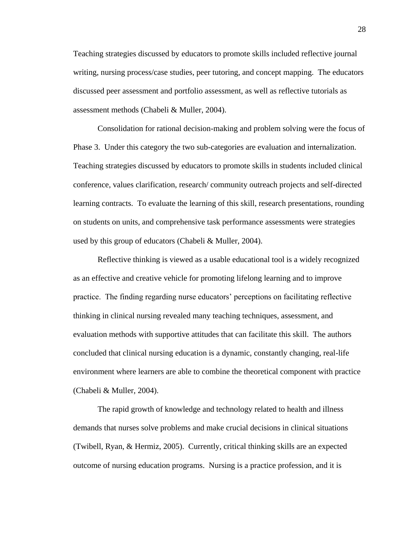Teaching strategies discussed by educators to promote skills included reflective journal writing, nursing process/case studies, peer tutoring, and concept mapping. The educators discussed peer assessment and portfolio assessment, as well as reflective tutorials as assessment methods (Chabeli & Muller, 2004).

Consolidation for rational decision-making and problem solving were the focus of Phase 3. Under this category the two sub-categories are evaluation and internalization. Teaching strategies discussed by educators to promote skills in students included clinical conference, values clarification, research/ community outreach projects and self-directed learning contracts. To evaluate the learning of this skill, research presentations, rounding on students on units, and comprehensive task performance assessments were strategies used by this group of educators (Chabeli & Muller, 2004).

Reflective thinking is viewed as a usable educational tool is a widely recognized as an effective and creative vehicle for promoting lifelong learning and to improve practice. The finding regarding nurse educators' perceptions on facilitating reflective thinking in clinical nursing revealed many teaching techniques, assessment, and evaluation methods with supportive attitudes that can facilitate this skill. The authors concluded that clinical nursing education is a dynamic, constantly changing, real-life environment where learners are able to combine the theoretical component with practice (Chabeli & Muller, 2004).

The rapid growth of knowledge and technology related to health and illness demands that nurses solve problems and make crucial decisions in clinical situations (Twibell, Ryan, & Hermiz, 2005). Currently, critical thinking skills are an expected outcome of nursing education programs. Nursing is a practice profession, and it is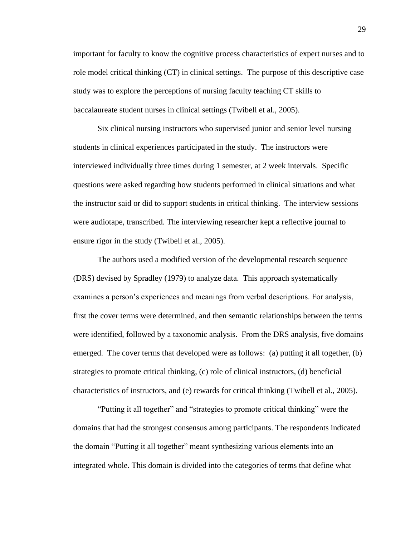important for faculty to know the cognitive process characteristics of expert nurses and to role model critical thinking (CT) in clinical settings. The purpose of this descriptive case study was to explore the perceptions of nursing faculty teaching CT skills to baccalaureate student nurses in clinical settings (Twibell et al., 2005).

Six clinical nursing instructors who supervised junior and senior level nursing students in clinical experiences participated in the study. The instructors were interviewed individually three times during 1 semester, at 2 week intervals. Specific questions were asked regarding how students performed in clinical situations and what the instructor said or did to support students in critical thinking. The interview sessions were audiotape, transcribed. The interviewing researcher kept a reflective journal to ensure rigor in the study (Twibell et al., 2005).

The authors used a modified version of the developmental research sequence (DRS) devised by Spradley (1979) to analyze data. This approach systematically examines a person's experiences and meanings from verbal descriptions. For analysis, first the cover terms were determined, and then semantic relationships between the terms were identified, followed by a taxonomic analysis. From the DRS analysis, five domains emerged. The cover terms that developed were as follows: (a) putting it all together, (b) strategies to promote critical thinking, (c) role of clinical instructors, (d) beneficial characteristics of instructors, and (e) rewards for critical thinking (Twibell et al., 2005).

"Putting it all together" and "strategies to promote critical thinking" were the domains that had the strongest consensus among participants. The respondents indicated the domain "Putting it all together" meant synthesizing various elements into an integrated whole. This domain is divided into the categories of terms that define what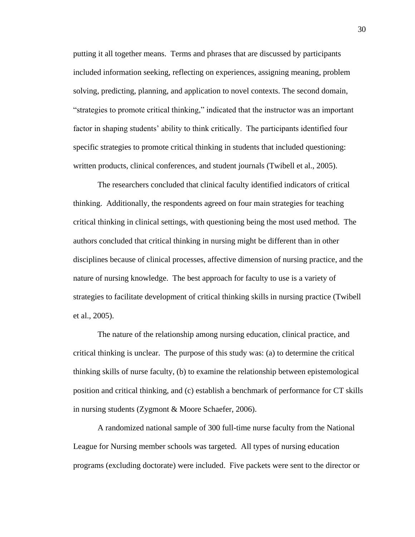putting it all together means. Terms and phrases that are discussed by participants included information seeking, reflecting on experiences, assigning meaning, problem solving, predicting, planning, and application to novel contexts. The second domain, "strategies to promote critical thinking," indicated that the instructor was an important factor in shaping students' ability to think critically. The participants identified four specific strategies to promote critical thinking in students that included questioning: written products, clinical conferences, and student journals (Twibell et al., 2005).

The researchers concluded that clinical faculty identified indicators of critical thinking. Additionally, the respondents agreed on four main strategies for teaching critical thinking in clinical settings, with questioning being the most used method. The authors concluded that critical thinking in nursing might be different than in other disciplines because of clinical processes, affective dimension of nursing practice, and the nature of nursing knowledge. The best approach for faculty to use is a variety of strategies to facilitate development of critical thinking skills in nursing practice (Twibell et al., 2005).

The nature of the relationship among nursing education, clinical practice, and critical thinking is unclear. The purpose of this study was: (a) to determine the critical thinking skills of nurse faculty, (b) to examine the relationship between epistemological position and critical thinking, and (c) establish a benchmark of performance for CT skills in nursing students (Zygmont & Moore Schaefer, 2006).

A randomized national sample of 300 full-time nurse faculty from the National League for Nursing member schools was targeted. All types of nursing education programs (excluding doctorate) were included. Five packets were sent to the director or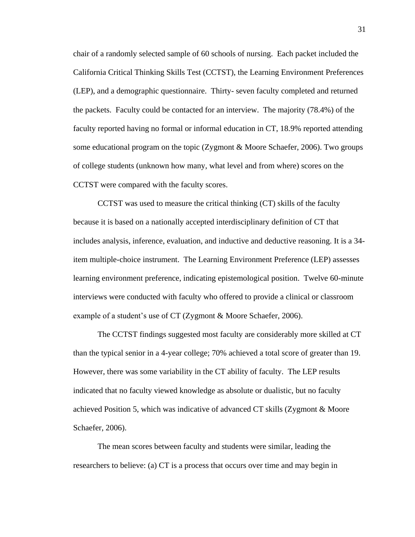chair of a randomly selected sample of 60 schools of nursing. Each packet included the California Critical Thinking Skills Test (CCTST), the Learning Environment Preferences (LEP), and a demographic questionnaire. Thirty- seven faculty completed and returned the packets. Faculty could be contacted for an interview. The majority (78.4%) of the faculty reported having no formal or informal education in CT, 18.9% reported attending some educational program on the topic (Zygmont & Moore Schaefer, 2006). Two groups of college students (unknown how many, what level and from where) scores on the CCTST were compared with the faculty scores.

CCTST was used to measure the critical thinking (CT) skills of the faculty because it is based on a nationally accepted interdisciplinary definition of CT that includes analysis, inference, evaluation, and inductive and deductive reasoning. It is a 34 item multiple-choice instrument. The Learning Environment Preference (LEP) assesses learning environment preference, indicating epistemological position. Twelve 60-minute interviews were conducted with faculty who offered to provide a clinical or classroom example of a student's use of CT (Zygmont & Moore Schaefer, 2006).

The CCTST findings suggested most faculty are considerably more skilled at CT than the typical senior in a 4-year college; 70% achieved a total score of greater than 19. However, there was some variability in the CT ability of faculty. The LEP results indicated that no faculty viewed knowledge as absolute or dualistic, but no faculty achieved Position 5, which was indicative of advanced CT skills (Zygmont & Moore Schaefer, 2006).

The mean scores between faculty and students were similar, leading the researchers to believe: (a) CT is a process that occurs over time and may begin in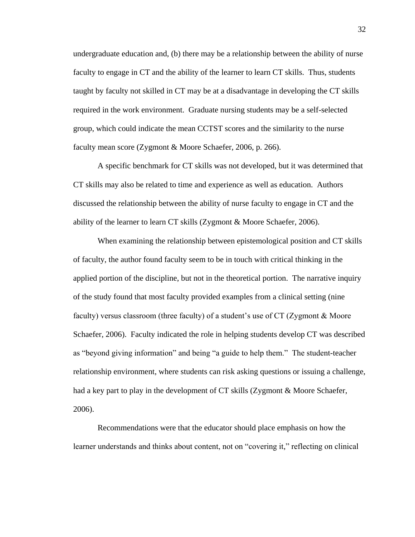undergraduate education and, (b) there may be a relationship between the ability of nurse faculty to engage in CT and the ability of the learner to learn CT skills. Thus, students taught by faculty not skilled in CT may be at a disadvantage in developing the CT skills required in the work environment. Graduate nursing students may be a self-selected group, which could indicate the mean CCTST scores and the similarity to the nurse faculty mean score (Zygmont & Moore Schaefer, 2006, p. 266).

A specific benchmark for CT skills was not developed, but it was determined that CT skills may also be related to time and experience as well as education. Authors discussed the relationship between the ability of nurse faculty to engage in CT and the ability of the learner to learn CT skills (Zygmont & Moore Schaefer, 2006).

When examining the relationship between epistemological position and CT skills of faculty, the author found faculty seem to be in touch with critical thinking in the applied portion of the discipline, but not in the theoretical portion. The narrative inquiry of the study found that most faculty provided examples from a clinical setting (nine faculty) versus classroom (three faculty) of a student's use of CT (Zygmont & Moore Schaefer, 2006). Faculty indicated the role in helping students develop CT was described as "beyond giving information" and being "a guide to help them." The student-teacher relationship environment, where students can risk asking questions or issuing a challenge, had a key part to play in the development of CT skills (Zygmont & Moore Schaefer, 2006).

Recommendations were that the educator should place emphasis on how the learner understands and thinks about content, not on "covering it," reflecting on clinical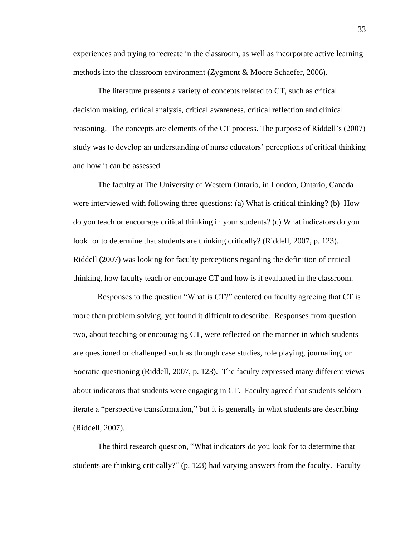experiences and trying to recreate in the classroom, as well as incorporate active learning methods into the classroom environment (Zygmont & Moore Schaefer, 2006).

The literature presents a variety of concepts related to CT, such as critical decision making, critical analysis, critical awareness, critical reflection and clinical reasoning. The concepts are elements of the CT process. The purpose of Riddell's (2007) study was to develop an understanding of nurse educators' perceptions of critical thinking and how it can be assessed.

The faculty at The University of Western Ontario, in London, Ontario, Canada were interviewed with following three questions: (a) What is critical thinking? (b) How do you teach or encourage critical thinking in your students? (c) What indicators do you look for to determine that students are thinking critically? (Riddell, 2007, p. 123). Riddell (2007) was looking for faculty perceptions regarding the definition of critical thinking, how faculty teach or encourage CT and how is it evaluated in the classroom.

Responses to the question "What is CT?" centered on faculty agreeing that CT is more than problem solving, yet found it difficult to describe. Responses from question two, about teaching or encouraging CT, were reflected on the manner in which students are questioned or challenged such as through case studies, role playing, journaling, or Socratic questioning (Riddell, 2007, p. 123). The faculty expressed many different views about indicators that students were engaging in CT. Faculty agreed that students seldom iterate a "perspective transformation," but it is generally in what students are describing (Riddell, 2007).

The third research question, "What indicators do you look for to determine that students are thinking critically?" (p. 123) had varying answers from the faculty. Faculty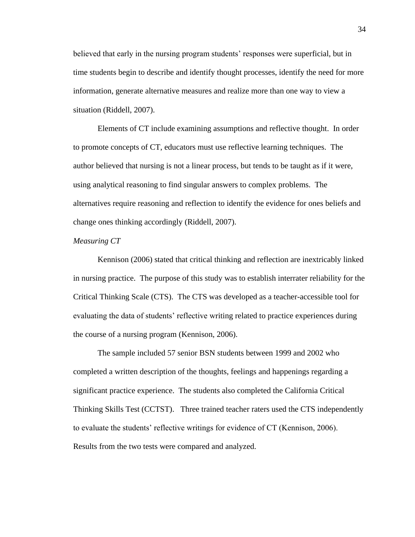believed that early in the nursing program students' responses were superficial, but in time students begin to describe and identify thought processes, identify the need for more information, generate alternative measures and realize more than one way to view a situation (Riddell, 2007).

Elements of CT include examining assumptions and reflective thought. In order to promote concepts of CT, educators must use reflective learning techniques. The author believed that nursing is not a linear process, but tends to be taught as if it were, using analytical reasoning to find singular answers to complex problems. The alternatives require reasoning and reflection to identify the evidence for ones beliefs and change ones thinking accordingly (Riddell, 2007).

#### *Measuring CT*

Kennison (2006) stated that critical thinking and reflection are inextricably linked in nursing practice. The purpose of this study was to establish interrater reliability for the Critical Thinking Scale (CTS). The CTS was developed as a teacher-accessible tool for evaluating the data of students' reflective writing related to practice experiences during the course of a nursing program (Kennison, 2006).

The sample included 57 senior BSN students between 1999 and 2002 who completed a written description of the thoughts, feelings and happenings regarding a significant practice experience. The students also completed the California Critical Thinking Skills Test (CCTST). Three trained teacher raters used the CTS independently to evaluate the students' reflective writings for evidence of CT (Kennison, 2006). Results from the two tests were compared and analyzed.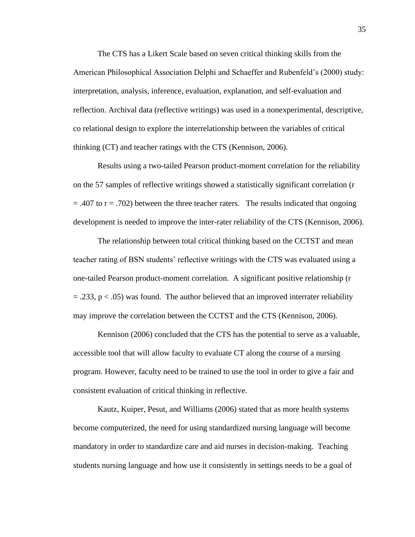The CTS has a Likert Scale based on seven critical thinking skills from the American Philosophical Association Delphi and Schaeffer and Rubenfeld's (2000) study: interpretation, analysis, inference, evaluation, explanation, and self-evaluation and reflection. Archival data (reflective writings) was used in a nonexperimental, descriptive, co relational design to explore the interrelationship between the variables of critical thinking (CT) and teacher ratings with the CTS (Kennison, 2006).

Results using a two-tailed Pearson product-moment correlation for the reliability on the 57 samples of reflective writings showed a statistically significant correlation (r  $= .407$  to  $r = .702$ ) between the three teacher raters. The results indicated that ongoing development is needed to improve the inter-rater reliability of the CTS (Kennison, 2006).

The relationship between total critical thinking based on the CCTST and mean teacher rating of BSN students' reflective writings with the CTS was evaluated using a one-tailed Pearson product-moment correlation. A significant positive relationship (r  $=$  .233, p  $\lt$  .05) was found. The author believed that an improved interrater reliability may improve the correlation between the CCTST and the CTS (Kennison, 2006).

Kennison (2006) concluded that the CTS has the potential to serve as a valuable, accessible tool that will allow faculty to evaluate CT along the course of a nursing program. However, faculty need to be trained to use the tool in order to give a fair and consistent evaluation of critical thinking in reflective.

Kautz, Kuiper, Pesut, and Williams (2006) stated that as more health systems become computerized, the need for using standardized nursing language will become mandatory in order to standardize care and aid nurses in decision-making. Teaching students nursing language and how use it consistently in settings needs to be a goal of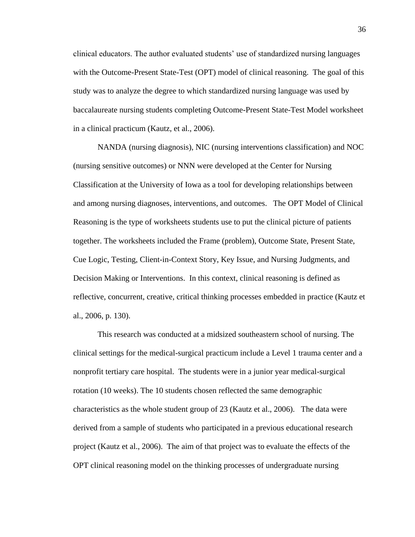clinical educators. The author evaluated students' use of standardized nursing languages with the Outcome-Present State-Test (OPT) model of clinical reasoning. The goal of this study was to analyze the degree to which standardized nursing language was used by baccalaureate nursing students completing Outcome-Present State-Test Model worksheet in a clinical practicum (Kautz, et al., 2006).

NANDA (nursing diagnosis), NIC (nursing interventions classification) and NOC (nursing sensitive outcomes) or NNN were developed at the Center for Nursing Classification at the University of Iowa as a tool for developing relationships between and among nursing diagnoses, interventions, and outcomes. The OPT Model of Clinical Reasoning is the type of worksheets students use to put the clinical picture of patients together. The worksheets included the Frame (problem), Outcome State, Present State, Cue Logic, Testing, Client-in-Context Story, Key Issue, and Nursing Judgments, and Decision Making or Interventions. In this context, clinical reasoning is defined as reflective, concurrent, creative, critical thinking processes embedded in practice (Kautz et al., 2006, p. 130).

This research was conducted at a midsized southeastern school of nursing. The clinical settings for the medical-surgical practicum include a Level 1 trauma center and a nonprofit tertiary care hospital. The students were in a junior year medical-surgical rotation (10 weeks). The 10 students chosen reflected the same demographic characteristics as the whole student group of 23 (Kautz et al., 2006). The data were derived from a sample of students who participated in a previous educational research project (Kautz et al., 2006). The aim of that project was to evaluate the effects of the OPT clinical reasoning model on the thinking processes of undergraduate nursing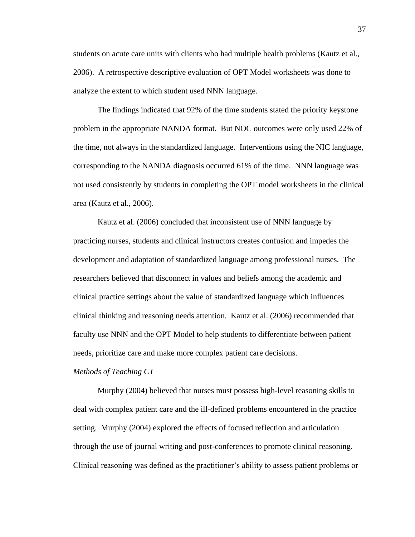students on acute care units with clients who had multiple health problems (Kautz et al., 2006). A retrospective descriptive evaluation of OPT Model worksheets was done to analyze the extent to which student used NNN language.

The findings indicated that 92% of the time students stated the priority keystone problem in the appropriate NANDA format. But NOC outcomes were only used 22% of the time, not always in the standardized language. Interventions using the NIC language, corresponding to the NANDA diagnosis occurred 61% of the time. NNN language was not used consistently by students in completing the OPT model worksheets in the clinical area (Kautz et al., 2006).

Kautz et al. (2006) concluded that inconsistent use of NNN language by practicing nurses, students and clinical instructors creates confusion and impedes the development and adaptation of standardized language among professional nurses. The researchers believed that disconnect in values and beliefs among the academic and clinical practice settings about the value of standardized language which influences clinical thinking and reasoning needs attention. Kautz et al. (2006) recommended that faculty use NNN and the OPT Model to help students to differentiate between patient needs, prioritize care and make more complex patient care decisions.

*Methods of Teaching CT*

Murphy (2004) believed that nurses must possess high-level reasoning skills to deal with complex patient care and the ill-defined problems encountered in the practice setting. Murphy (2004) explored the effects of focused reflection and articulation through the use of journal writing and post-conferences to promote clinical reasoning. Clinical reasoning was defined as the practitioner's ability to assess patient problems or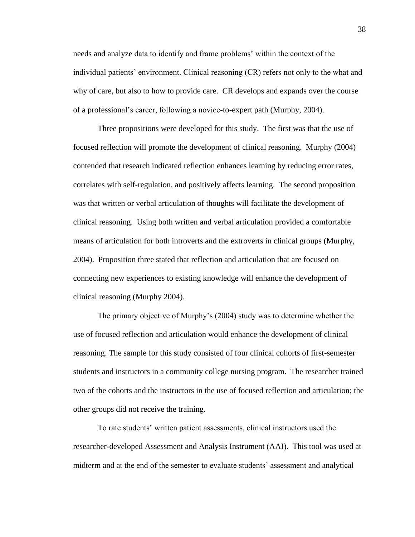needs and analyze data to identify and frame problems' within the context of the individual patients' environment. Clinical reasoning (CR) refers not only to the what and why of care, but also to how to provide care. CR develops and expands over the course of a professional's career, following a novice-to-expert path (Murphy, 2004).

Three propositions were developed for this study. The first was that the use of focused reflection will promote the development of clinical reasoning. Murphy (2004) contended that research indicated reflection enhances learning by reducing error rates, correlates with self-regulation, and positively affects learning. The second proposition was that written or verbal articulation of thoughts will facilitate the development of clinical reasoning. Using both written and verbal articulation provided a comfortable means of articulation for both introverts and the extroverts in clinical groups (Murphy, 2004). Proposition three stated that reflection and articulation that are focused on connecting new experiences to existing knowledge will enhance the development of clinical reasoning (Murphy 2004).

The primary objective of Murphy's (2004) study was to determine whether the use of focused reflection and articulation would enhance the development of clinical reasoning. The sample for this study consisted of four clinical cohorts of first-semester students and instructors in a community college nursing program. The researcher trained two of the cohorts and the instructors in the use of focused reflection and articulation; the other groups did not receive the training.

To rate students' written patient assessments, clinical instructors used the researcher-developed Assessment and Analysis Instrument (AAI). This tool was used at midterm and at the end of the semester to evaluate students' assessment and analytical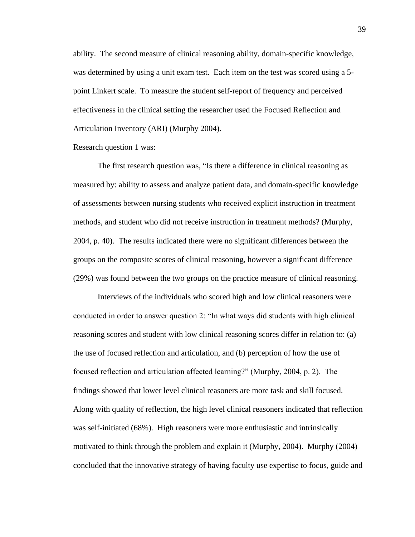ability. The second measure of clinical reasoning ability, domain-specific knowledge, was determined by using a unit exam test. Each item on the test was scored using a 5 point Linkert scale. To measure the student self-report of frequency and perceived effectiveness in the clinical setting the researcher used the Focused Reflection and Articulation Inventory (ARI) (Murphy 2004).

Research question 1 was:

The first research question was, "Is there a difference in clinical reasoning as measured by: ability to assess and analyze patient data, and domain-specific knowledge of assessments between nursing students who received explicit instruction in treatment methods, and student who did not receive instruction in treatment methods? (Murphy, 2004, p. 40). The results indicated there were no significant differences between the groups on the composite scores of clinical reasoning, however a significant difference (29%) was found between the two groups on the practice measure of clinical reasoning.

Interviews of the individuals who scored high and low clinical reasoners were conducted in order to answer question 2: "In what ways did students with high clinical reasoning scores and student with low clinical reasoning scores differ in relation to: (a) the use of focused reflection and articulation, and (b) perception of how the use of focused reflection and articulation affected learning?" (Murphy, 2004, p. 2). The findings showed that lower level clinical reasoners are more task and skill focused. Along with quality of reflection, the high level clinical reasoners indicated that reflection was self-initiated (68%). High reasoners were more enthusiastic and intrinsically motivated to think through the problem and explain it (Murphy, 2004). Murphy (2004) concluded that the innovative strategy of having faculty use expertise to focus, guide and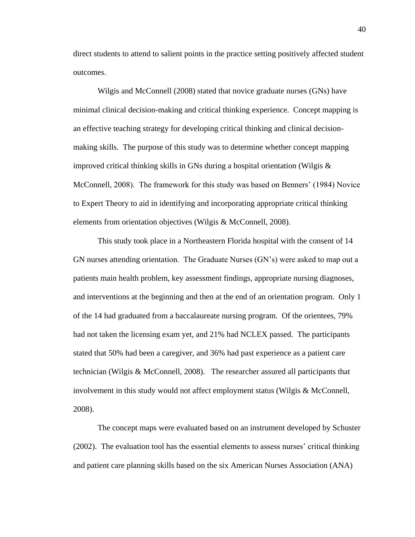direct students to attend to salient points in the practice setting positively affected student outcomes.

Wilgis and McConnell (2008) stated that novice graduate nurses (GNs) have minimal clinical decision-making and critical thinking experience. Concept mapping is an effective teaching strategy for developing critical thinking and clinical decisionmaking skills. The purpose of this study was to determine whether concept mapping improved critical thinking skills in GNs during a hospital orientation (Wilgis  $\&$ McConnell, 2008). The framework for this study was based on Benners' (1984) Novice to Expert Theory to aid in identifying and incorporating appropriate critical thinking elements from orientation objectives (Wilgis & McConnell, 2008).

This study took place in a Northeastern Florida hospital with the consent of 14 GN nurses attending orientation. The Graduate Nurses (GN's) were asked to map out a patients main health problem, key assessment findings, appropriate nursing diagnoses, and interventions at the beginning and then at the end of an orientation program. Only 1 of the 14 had graduated from a baccalaureate nursing program. Of the orientees, 79% had not taken the licensing exam yet, and 21% had NCLEX passed. The participants stated that 50% had been a caregiver, and 36% had past experience as a patient care technician (Wilgis & McConnell, 2008). The researcher assured all participants that involvement in this study would not affect employment status (Wilgis & McConnell, 2008).

The concept maps were evaluated based on an instrument developed by Schuster (2002). The evaluation tool has the essential elements to assess nurses' critical thinking and patient care planning skills based on the six American Nurses Association (ANA)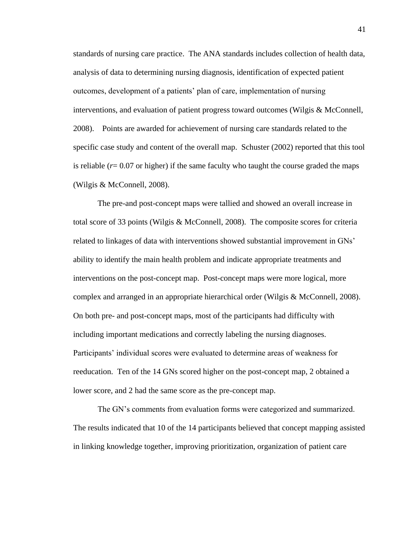standards of nursing care practice. The ANA standards includes collection of health data, analysis of data to determining nursing diagnosis, identification of expected patient outcomes, development of a patients' plan of care, implementation of nursing interventions, and evaluation of patient progress toward outcomes (Wilgis & McConnell, 2008). Points are awarded for achievement of nursing care standards related to the specific case study and content of the overall map. Schuster (2002) reported that this tool is reliable  $(r= 0.07$  or higher) if the same faculty who taught the course graded the maps (Wilgis & McConnell, 2008).

The pre-and post-concept maps were tallied and showed an overall increase in total score of 33 points (Wilgis & McConnell, 2008). The composite scores for criteria related to linkages of data with interventions showed substantial improvement in GNs' ability to identify the main health problem and indicate appropriate treatments and interventions on the post-concept map. Post-concept maps were more logical, more complex and arranged in an appropriate hierarchical order (Wilgis & McConnell, 2008). On both pre- and post-concept maps, most of the participants had difficulty with including important medications and correctly labeling the nursing diagnoses. Participants' individual scores were evaluated to determine areas of weakness for reeducation. Ten of the 14 GNs scored higher on the post-concept map, 2 obtained a lower score, and 2 had the same score as the pre-concept map.

The GN's comments from evaluation forms were categorized and summarized. The results indicated that 10 of the 14 participants believed that concept mapping assisted in linking knowledge together, improving prioritization, organization of patient care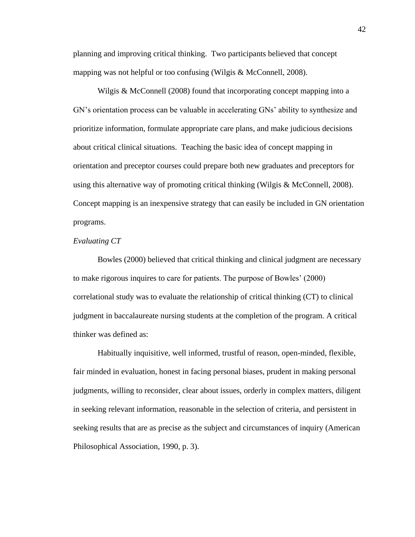planning and improving critical thinking. Two participants believed that concept mapping was not helpful or too confusing (Wilgis & McConnell, 2008).

Wilgis & McConnell (2008) found that incorporating concept mapping into a GN's orientation process can be valuable in accelerating GNs' ability to synthesize and prioritize information, formulate appropriate care plans, and make judicious decisions about critical clinical situations. Teaching the basic idea of concept mapping in orientation and preceptor courses could prepare both new graduates and preceptors for using this alternative way of promoting critical thinking (Wilgis & McConnell, 2008). Concept mapping is an inexpensive strategy that can easily be included in GN orientation programs.

### *Evaluating CT*

Bowles (2000) believed that critical thinking and clinical judgment are necessary to make rigorous inquires to care for patients. The purpose of Bowles' (2000) correlational study was to evaluate the relationship of critical thinking (CT) to clinical judgment in baccalaureate nursing students at the completion of the program. A critical thinker was defined as:

Habitually inquisitive, well informed, trustful of reason, open-minded, flexible, fair minded in evaluation, honest in facing personal biases, prudent in making personal judgments, willing to reconsider, clear about issues, orderly in complex matters, diligent in seeking relevant information, reasonable in the selection of criteria, and persistent in seeking results that are as precise as the subject and circumstances of inquiry (American Philosophical Association, 1990, p. 3).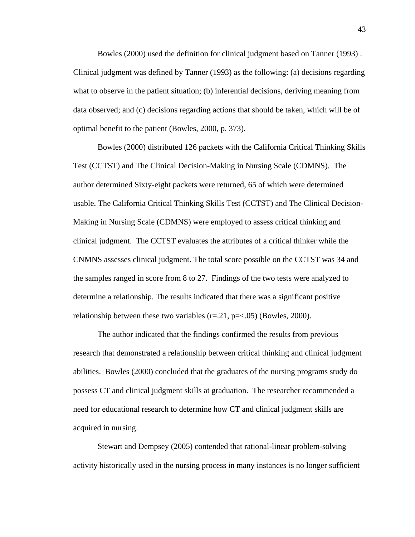Bowles (2000) used the definition for clinical judgment based on Tanner (1993) . Clinical judgment was defined by Tanner (1993) as the following: (a) decisions regarding what to observe in the patient situation; (b) inferential decisions, deriving meaning from data observed; and (c) decisions regarding actions that should be taken, which will be of optimal benefit to the patient (Bowles, 2000, p. 373).

Bowles (2000) distributed 126 packets with the California Critical Thinking Skills Test (CCTST) and The Clinical Decision-Making in Nursing Scale (CDMNS). The author determined Sixty-eight packets were returned, 65 of which were determined usable. The California Critical Thinking Skills Test (CCTST) and The Clinical Decision-Making in Nursing Scale (CDMNS) were employed to assess critical thinking and clinical judgment. The CCTST evaluates the attributes of a critical thinker while the CNMNS assesses clinical judgment. The total score possible on the CCTST was 34 and the samples ranged in score from 8 to 27. Findings of the two tests were analyzed to determine a relationship. The results indicated that there was a significant positive relationship between these two variables  $(r=.21, p=<.05)$  (Bowles, 2000).

The author indicated that the findings confirmed the results from previous research that demonstrated a relationship between critical thinking and clinical judgment abilities. Bowles (2000) concluded that the graduates of the nursing programs study do possess CT and clinical judgment skills at graduation. The researcher recommended a need for educational research to determine how CT and clinical judgment skills are acquired in nursing.

Stewart and Dempsey (2005) contended that rational-linear problem-solving activity historically used in the nursing process in many instances is no longer sufficient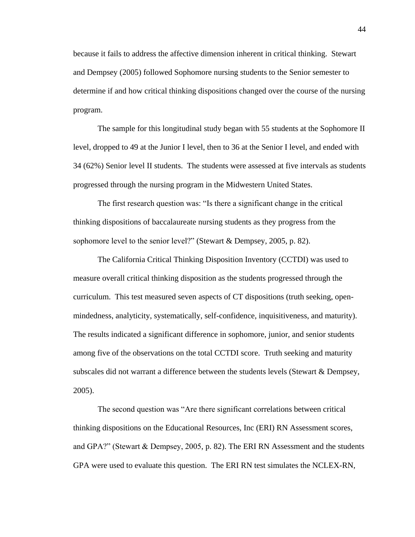because it fails to address the affective dimension inherent in critical thinking. Stewart and Dempsey (2005) followed Sophomore nursing students to the Senior semester to determine if and how critical thinking dispositions changed over the course of the nursing program.

The sample for this longitudinal study began with 55 students at the Sophomore II level, dropped to 49 at the Junior I level, then to 36 at the Senior I level, and ended with 34 (62%) Senior level II students. The students were assessed at five intervals as students progressed through the nursing program in the Midwestern United States.

The first research question was: "Is there a significant change in the critical thinking dispositions of baccalaureate nursing students as they progress from the sophomore level to the senior level?" (Stewart & Dempsey, 2005, p. 82).

The California Critical Thinking Disposition Inventory (CCTDI) was used to measure overall critical thinking disposition as the students progressed through the curriculum. This test measured seven aspects of CT dispositions (truth seeking, openmindedness, analyticity, systematically, self-confidence, inquisitiveness, and maturity). The results indicated a significant difference in sophomore, junior, and senior students among five of the observations on the total CCTDI score. Truth seeking and maturity subscales did not warrant a difference between the students levels (Stewart & Dempsey, 2005).

The second question was "Are there significant correlations between critical thinking dispositions on the Educational Resources, Inc (ERI) RN Assessment scores, and GPA?" (Stewart & Dempsey, 2005, p. 82). The ERI RN Assessment and the students GPA were used to evaluate this question. The ERI RN test simulates the NCLEX-RN,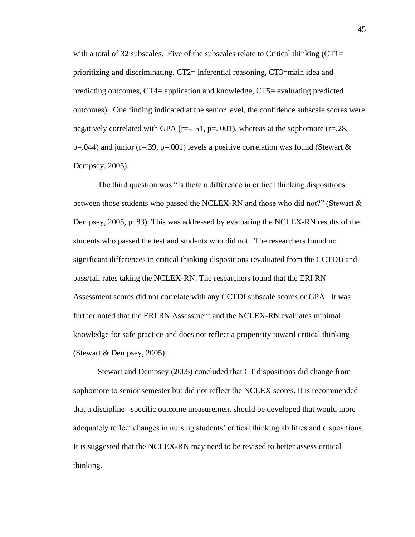with a total of 32 subscales. Five of the subscales relate to Critical thinking  $(CT1=$ prioritizing and discriminating, CT2= inferential reasoning, CT3=main idea and predicting outcomes, CT4= application and knowledge, CT5= evaluating predicted outcomes). One finding indicated at the senior level, the confidence subscale scores were negatively correlated with GPA ( $r=-$ . 51,  $p=$ . 001), whereas at the sophomore ( $r=.28$ ,  $p=0.044$ ) and junior (r=.39, p=.001) levels a positive correlation was found (Stewart & Dempsey, 2005).

The third question was "Is there a difference in critical thinking dispositions between those students who passed the NCLEX-RN and those who did not?" (Stewart  $\&$ Dempsey, 2005, p. 83). This was addressed by evaluating the NCLEX-RN results of the students who passed the test and students who did not. The researchers found no significant differences in critical thinking dispositions (evaluated from the CCTDI) and pass/fail rates taking the NCLEX-RN. The researchers found that the ERI RN Assessment scores did not correlate with any CCTDI subscale scores or GPA. It was further noted that the ERI RN Assessment and the NCLEX-RN evaluates minimal knowledge for safe practice and does not reflect a propensity toward critical thinking (Stewart & Dempsey, 2005).

Stewart and Dempsey (2005) concluded that CT dispositions did change from sophomore to senior semester but did not reflect the NCLEX scores. It is recommended that a discipline –specific outcome measurement should be developed that would more adequately reflect changes in nursing students' critical thinking abilities and dispositions. It is suggested that the NCLEX-RN may need to be revised to better assess critical thinking.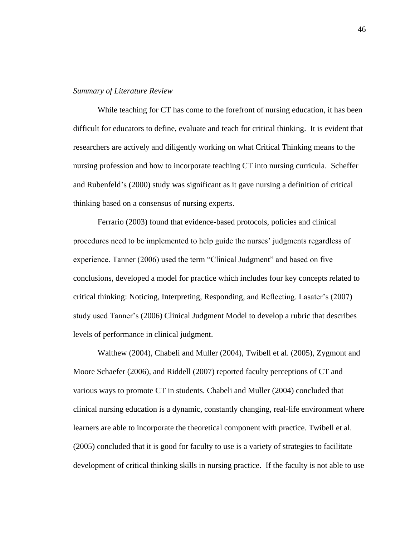#### *Summary of Literature Review*

While teaching for CT has come to the forefront of nursing education, it has been difficult for educators to define, evaluate and teach for critical thinking. It is evident that researchers are actively and diligently working on what Critical Thinking means to the nursing profession and how to incorporate teaching CT into nursing curricula. Scheffer and Rubenfeld's (2000) study was significant as it gave nursing a definition of critical thinking based on a consensus of nursing experts.

Ferrario (2003) found that evidence-based protocols, policies and clinical procedures need to be implemented to help guide the nurses' judgments regardless of experience. Tanner (2006) used the term "Clinical Judgment" and based on five conclusions, developed a model for practice which includes four key concepts related to critical thinking: Noticing, Interpreting, Responding, and Reflecting. Lasater's (2007) study used Tanner's (2006) Clinical Judgment Model to develop a rubric that describes levels of performance in clinical judgment.

Walthew (2004), Chabeli and Muller (2004), Twibell et al. (2005), Zygmont and Moore Schaefer (2006), and Riddell (2007) reported faculty perceptions of CT and various ways to promote CT in students. Chabeli and Muller (2004) concluded that clinical nursing education is a dynamic, constantly changing, real-life environment where learners are able to incorporate the theoretical component with practice. Twibell et al. (2005) concluded that it is good for faculty to use is a variety of strategies to facilitate development of critical thinking skills in nursing practice. If the faculty is not able to use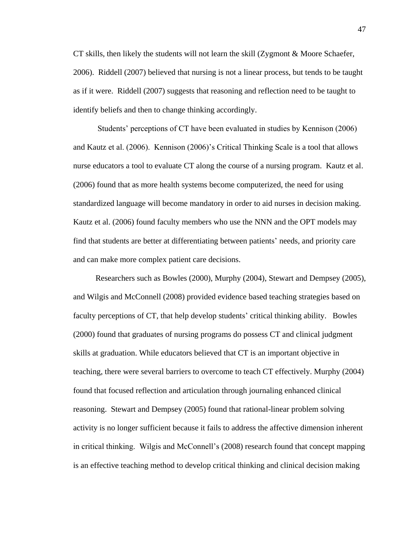CT skills, then likely the students will not learn the skill (Zygmont & Moore Schaefer, 2006). Riddell (2007) believed that nursing is not a linear process, but tends to be taught as if it were. Riddell (2007) suggests that reasoning and reflection need to be taught to identify beliefs and then to change thinking accordingly.

Students' perceptions of CT have been evaluated in studies by Kennison (2006) and Kautz et al. (2006). Kennison (2006)'s Critical Thinking Scale is a tool that allows nurse educators a tool to evaluate CT along the course of a nursing program. Kautz et al. (2006) found that as more health systems become computerized, the need for using standardized language will become mandatory in order to aid nurses in decision making. Kautz et al. (2006) found faculty members who use the NNN and the OPT models may find that students are better at differentiating between patients' needs, and priority care and can make more complex patient care decisions.

Researchers such as Bowles (2000), Murphy (2004), Stewart and Dempsey (2005), and Wilgis and McConnell (2008) provided evidence based teaching strategies based on faculty perceptions of CT, that help develop students' critical thinking ability. Bowles (2000) found that graduates of nursing programs do possess CT and clinical judgment skills at graduation. While educators believed that CT is an important objective in teaching, there were several barriers to overcome to teach CT effectively. Murphy (2004) found that focused reflection and articulation through journaling enhanced clinical reasoning. Stewart and Dempsey (2005) found that rational-linear problem solving activity is no longer sufficient because it fails to address the affective dimension inherent in critical thinking. Wilgis and McConnell's (2008) research found that concept mapping is an effective teaching method to develop critical thinking and clinical decision making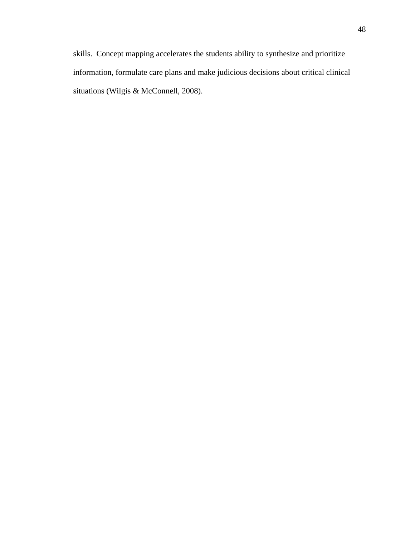skills. Concept mapping accelerates the students ability to synthesize and prioritize information, formulate care plans and make judicious decisions about critical clinical situations (Wilgis & McConnell, 2008).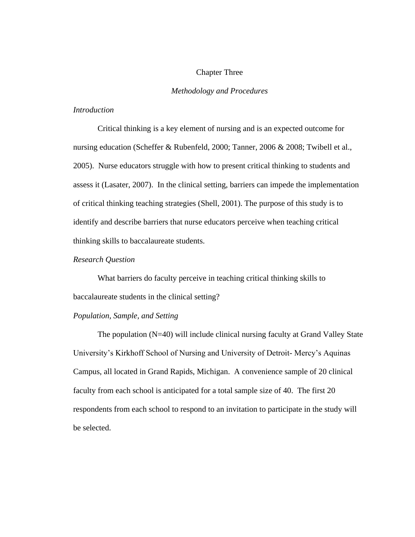# Chapter Three

# *Methodology and Procedures*

## *Introduction*

Critical thinking is a key element of nursing and is an expected outcome for nursing education (Scheffer & Rubenfeld, 2000; Tanner, 2006 & 2008; Twibell et al., 2005). Nurse educators struggle with how to present critical thinking to students and assess it (Lasater, 2007). In the clinical setting, barriers can impede the implementation of critical thinking teaching strategies (Shell, 2001). The purpose of this study is to identify and describe barriers that nurse educators perceive when teaching critical thinking skills to baccalaureate students.

# *Research Question*

What barriers do faculty perceive in teaching critical thinking skills to baccalaureate students in the clinical setting?

## *Population, Sample, and Setting*

The population (N=40) will include clinical nursing faculty at Grand Valley State University's Kirkhoff School of Nursing and University of Detroit- Mercy's Aquinas Campus, all located in Grand Rapids, Michigan. A convenience sample of 20 clinical faculty from each school is anticipated for a total sample size of 40. The first 20 respondents from each school to respond to an invitation to participate in the study will be selected.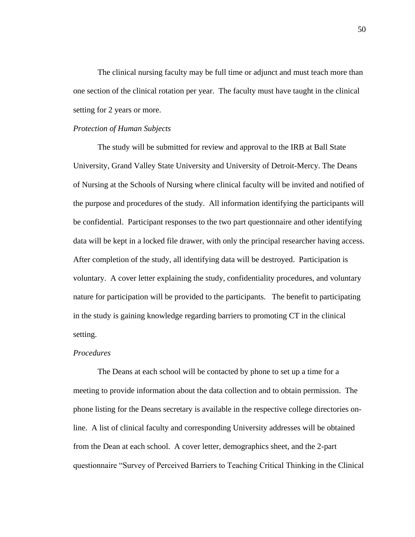The clinical nursing faculty may be full time or adjunct and must teach more than one section of the clinical rotation per year. The faculty must have taught in the clinical setting for 2 years or more.

#### *Protection of Human Subjects*

The study will be submitted for review and approval to the IRB at Ball State University, Grand Valley State University and University of Detroit-Mercy. The Deans of Nursing at the Schools of Nursing where clinical faculty will be invited and notified of the purpose and procedures of the study. All information identifying the participants will be confidential. Participant responses to the two part questionnaire and other identifying data will be kept in a locked file drawer, with only the principal researcher having access. After completion of the study, all identifying data will be destroyed. Participation is voluntary. A cover letter explaining the study, confidentiality procedures, and voluntary nature for participation will be provided to the participants. The benefit to participating in the study is gaining knowledge regarding barriers to promoting CT in the clinical setting.

#### *Procedures*

The Deans at each school will be contacted by phone to set up a time for a meeting to provide information about the data collection and to obtain permission. The phone listing for the Deans secretary is available in the respective college directories online. A list of clinical faculty and corresponding University addresses will be obtained from the Dean at each school. A cover letter, demographics sheet, and the 2-part questionnaire "Survey of Perceived Barriers to Teaching Critical Thinking in the Clinical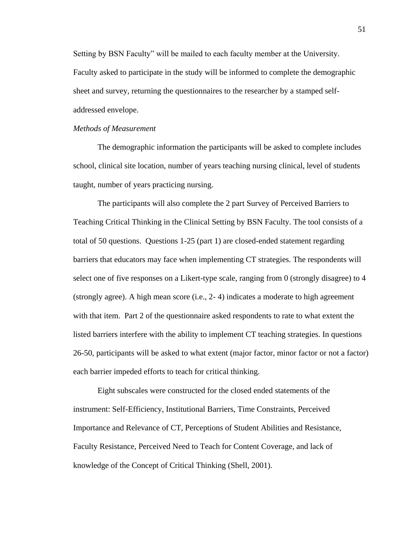Setting by BSN Faculty" will be mailed to each faculty member at the University. Faculty asked to participate in the study will be informed to complete the demographic sheet and survey, returning the questionnaires to the researcher by a stamped selfaddressed envelope.

#### *Methods of Measurement*

The demographic information the participants will be asked to complete includes school, clinical site location, number of years teaching nursing clinical, level of students taught, number of years practicing nursing.

The participants will also complete the 2 part Survey of Perceived Barriers to Teaching Critical Thinking in the Clinical Setting by BSN Faculty. The tool consists of a total of 50 questions. Questions 1-25 (part 1) are closed-ended statement regarding barriers that educators may face when implementing CT strategies. The respondents will select one of five responses on a Likert-type scale, ranging from 0 (strongly disagree) to 4 (strongly agree). A high mean score (i.e., 2- 4) indicates a moderate to high agreement with that item. Part 2 of the questionnaire asked respondents to rate to what extent the listed barriers interfere with the ability to implement CT teaching strategies. In questions 26-50, participants will be asked to what extent (major factor, minor factor or not a factor) each barrier impeded efforts to teach for critical thinking.

Eight subscales were constructed for the closed ended statements of the instrument: Self-Efficiency, Institutional Barriers, Time Constraints, Perceived Importance and Relevance of CT, Perceptions of Student Abilities and Resistance, Faculty Resistance, Perceived Need to Teach for Content Coverage, and lack of knowledge of the Concept of Critical Thinking (Shell, 2001).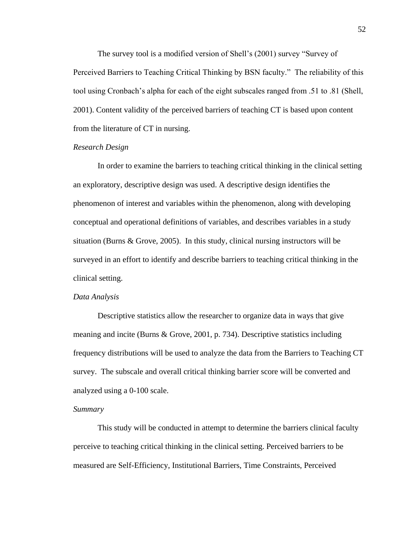The survey tool is a modified version of Shell's (2001) survey "Survey of Perceived Barriers to Teaching Critical Thinking by BSN faculty." The reliability of this tool using Cronbach's alpha for each of the eight subscales ranged from .51 to .81 (Shell, 2001). Content validity of the perceived barriers of teaching CT is based upon content from the literature of CT in nursing.

# *Research Design*

In order to examine the barriers to teaching critical thinking in the clinical setting an exploratory, descriptive design was used. A descriptive design identifies the phenomenon of interest and variables within the phenomenon, along with developing conceptual and operational definitions of variables, and describes variables in a study situation (Burns & Grove, 2005). In this study, clinical nursing instructors will be surveyed in an effort to identify and describe barriers to teaching critical thinking in the clinical setting.

#### *Data Analysis*

Descriptive statistics allow the researcher to organize data in ways that give meaning and incite (Burns & Grove, 2001, p. 734). Descriptive statistics including frequency distributions will be used to analyze the data from the Barriers to Teaching CT survey. The subscale and overall critical thinking barrier score will be converted and analyzed using a 0-100 scale.

#### *Summary*

This study will be conducted in attempt to determine the barriers clinical faculty perceive to teaching critical thinking in the clinical setting. Perceived barriers to be measured are Self-Efficiency, Institutional Barriers, Time Constraints, Perceived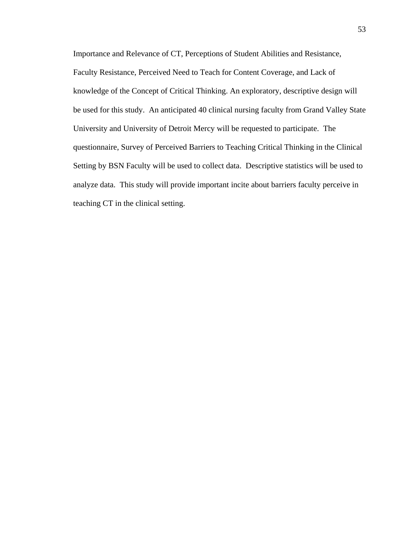Importance and Relevance of CT, Perceptions of Student Abilities and Resistance, Faculty Resistance, Perceived Need to Teach for Content Coverage, and Lack of knowledge of the Concept of Critical Thinking. An exploratory, descriptive design will be used for this study. An anticipated 40 clinical nursing faculty from Grand Valley State University and University of Detroit Mercy will be requested to participate. The questionnaire, Survey of Perceived Barriers to Teaching Critical Thinking in the Clinical Setting by BSN Faculty will be used to collect data. Descriptive statistics will be used to analyze data. This study will provide important incite about barriers faculty perceive in teaching CT in the clinical setting.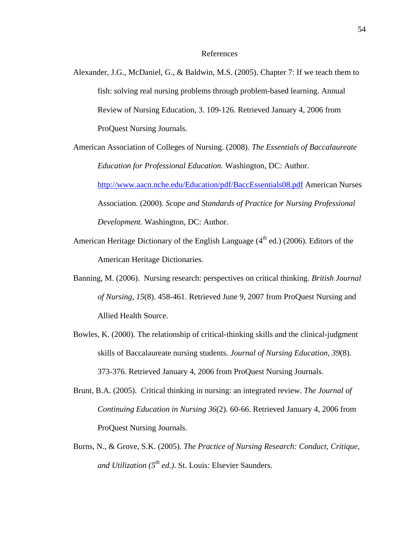#### References

- Alexander, J.G., McDaniel, G., & Baldwin, M.S. (2005). Chapter 7: If we teach them to fish: solving real nursing problems through problem-based learning. Annual Review of Nursing Education, 3. 109-126. Retrieved January 4, 2006 from ProQuest Nursing Journals.
- American Association of Colleges of Nursing. (2008). *The Essentials of Baccalaureate Education for Professional Education.* Washington, DC: Author. <http://www.aacn.nche.edu/Education/pdf/BaccEssentials08.pdf> American Nurses Association. (2000). *Scope and Standards of Practice for Nursing Professional Development.* Washington, DC: Author.
- American Heritage Dictionary of the English Language  $(4<sup>th</sup>$  ed.) (2006). Editors of the American Heritage Dictionaries.
- Banning, M. (2006). Nursing research: perspectives on critical thinking. *British Journal of Nursing, 15*(8). 458-461. Retrieved June 9, 2007 from ProQuest Nursing and Allied Health Source.
- Bowles, K. (2000). The relationship of critical-thinking skills and the clinical-judgment skills of Baccalaureate nursing students. *Journal of Nursing Education, 39*(8). 373-376. Retrieved January 4, 2006 from ProQuest Nursing Journals.
- Brunt, B.A. (2005). Critical thinking in nursing: an integrated review. *The Journal of Continuing Education in Nursing 36*(2). 60-66. Retrieved January 4, 2006 from ProQuest Nursing Journals.
- Burns, N., & Grove, S.K. (2005). *The Practice of Nursing Research: Conduct, Critique, and Utilization (5th ed.)*. St. Louis: Elsevier Saunders.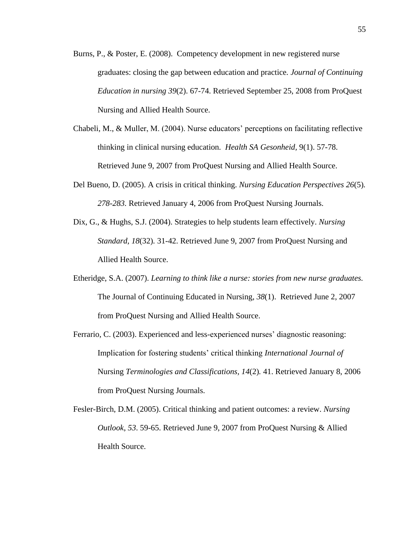- Burns, P., & Poster, E. (2008). Competency development in new registered nurse graduates: closing the gap between education and practice*. Journal of Continuing Education in nursing 39*(2). 67-74. Retrieved September 25, 2008 from ProQuest Nursing and Allied Health Source.
- Chabeli, M., & Muller, M. (2004). Nurse educators' perceptions on facilitating reflective thinking in clinical nursing education. *Health SA Gesonheid,* 9(1). 57-78. Retrieved June 9, 2007 from ProQuest Nursing and Allied Health Source.
- Del Bueno, D. (2005). A crisis in critical thinking. *Nursing Education Perspectives 26*(5)*. 278-283.* Retrieved January 4, 2006 from ProQuest Nursing Journals.
- Dix, G., & Hughs, S.J. (2004). Strategies to help students learn effectively. *Nursing Standard, 18*(32)*.* 31-42. Retrieved June 9, 2007 from ProQuest Nursing and Allied Health Source.
- Etheridge, S.A. (2007). *Learning to think like a nurse: stories from new nurse graduates.*  The Journal of Continuing Educated in Nursing, *38*(1). Retrieved June 2, 2007 from ProQuest Nursing and Allied Health Source.
- Ferrario, C. (2003). Experienced and less-experienced nurses' diagnostic reasoning: Implication for fostering students' critical thinking *International Journal of*  Nursing *Terminologies and Classifications, 14*(2)*.* 41. Retrieved January 8, 2006 from ProQuest Nursing Journals.
- Fesler-Birch, D.M. (2005). Critical thinking and patient outcomes: a review. *Nursing Outlook*, *53*. 59-65. Retrieved June 9, 2007 from ProQuest Nursing & Allied Health Source.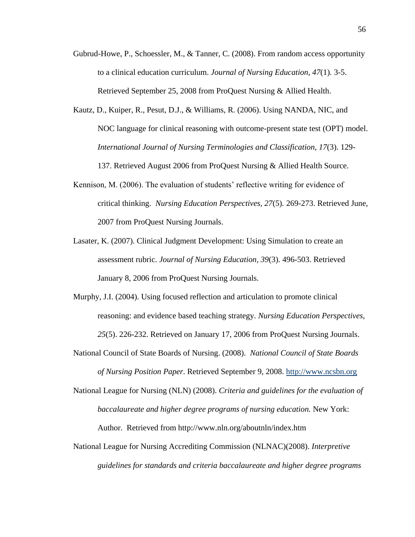- Gubrud-Howe, P., Schoessler, M., & Tanner, C. (2008). From random access opportunity to a clinical education curriculum. *Journal of Nursing Education, 47*(1)*.* 3-5. Retrieved September 25, 2008 from ProQuest Nursing & Allied Health.
- Kautz, D., Kuiper, R., Pesut, D.J., & Williams, R. (2006). Using NANDA, NIC, and NOC language for clinical reasoning with outcome-present state test (OPT) model. *International Journal of Nursing Terminologies and Classification, 17*(3). 129- 137. Retrieved August 2006 from ProQuest Nursing & Allied Health Source.
- Kennison, M. (2006). The evaluation of students' reflective writing for evidence of critical thinking. *Nursing Education Perspectives, 27*(5)*.* 269-273. Retrieved June, 2007 from ProQuest Nursing Journals.
- Lasater, K. (2007). Clinical Judgment Development: Using Simulation to create an assessment rubric. *Journal of Nursing Education, 39*(3). 496-503. Retrieved January 8, 2006 from ProQuest Nursing Journals.
- Murphy, J.I. (2004). Using focused reflection and articulation to promote clinical reasoning: and evidence based teaching strategy. *Nursing Education Perspectives, 25*(5). 226-232. Retrieved on January 17, 2006 from ProQuest Nursing Journals.
- National Council of State Boards of Nursing. (2008). *National Council of State Boards of Nursing Position Paper*. Retrieved September 9, 2008. [http://www.ncsbn.org](http://www.ncsbn.org/)

National League for Nursing (NLN) (2008). *Criteria and guidelines for the evaluation of baccalaureate and higher degree programs of nursing education.* New York: Author. Retrieved from http://www.nln.org/aboutnln/index.htm

National League for Nursing Accrediting Commission (NLNAC)(2008). *Interpretive guidelines for standards and criteria baccalaureate and higher degree programs*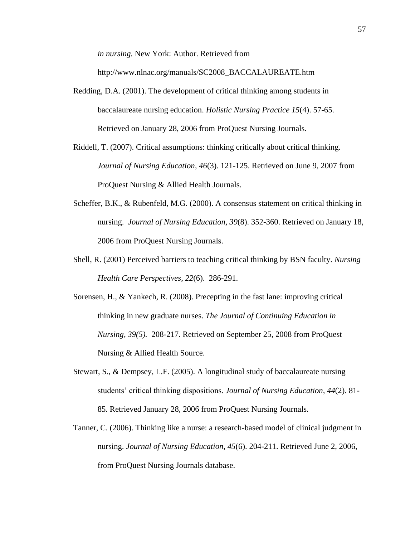*in nursing.* New York: Author. Retrieved from

http://www.nlnac.org/manuals/SC2008\_BACCALAUREATE.htm

- Redding, D.A. (2001). The development of critical thinking among students in baccalaureate nursing education. *Holistic Nursing Practice 15*(4). 57-65. Retrieved on January 28, 2006 from ProQuest Nursing Journals.
- Riddell, T. (2007). Critical assumptions: thinking critically about critical thinking. *Journal of Nursing Education, 46*(3). 121-125. Retrieved on June 9, 2007 from ProQuest Nursing & Allied Health Journals.
- Scheffer, B.K., & Rubenfeld, M.G. (2000). A consensus statement on critical thinking in nursing. *Journal of Nursing Education, 39*(8). 352-360. Retrieved on January 18, 2006 from ProQuest Nursing Journals.
- Shell, R. (2001) Perceived barriers to teaching critical thinking by BSN faculty. *Nursing Health Care Perspectives, 22*(6). 286-291.
- Sorensen, H., & Yankech, R. (2008). Precepting in the fast lane: improving critical thinking in new graduate nurses. *The Journal of Continuing Education in Nursing, 39(5).* 208-217. Retrieved on September 25, 2008 from ProQuest Nursing & Allied Health Source.
- Stewart, S., & Dempsey, L.F. (2005). A longitudinal study of baccalaureate nursing students' critical thinking dispositions. *Journal of Nursing Education, 44*(2). 81- 85. Retrieved January 28, 2006 from ProQuest Nursing Journals.
- Tanner, C. (2006). Thinking like a nurse: a research-based model of clinical judgment in nursing. *Journal of Nursing Education, 45*(6). 204-211. Retrieved June 2, 2006, from ProQuest Nursing Journals database.